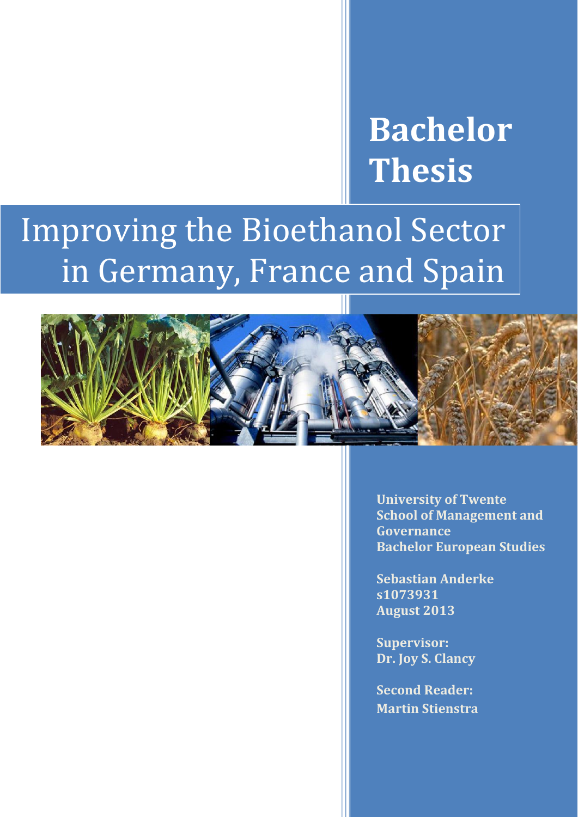**Bachelor Thesis**

# Improving the Bioethanol Sector in Germany, France and Spain



**University of Twente School of Management and Governance Bachelor European Studies**

**Sebastian Anderke s1073931 August 2013**

**Supervisor: Dr. Joy S. Clancy**

**Second Reader: Martin Stienstra**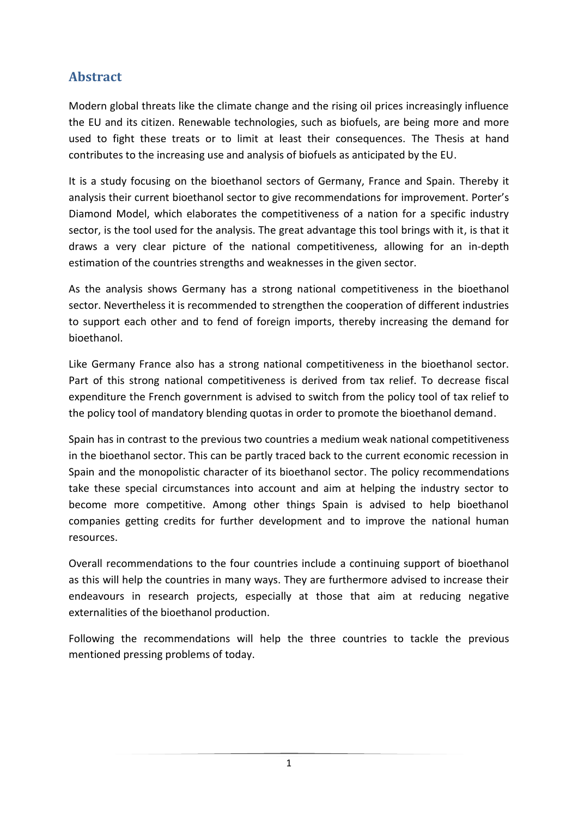## <span id="page-1-0"></span>**Abstract**

Modern global threats like the climate change and the rising oil prices increasingly influence the EU and its citizen. Renewable technologies, such as biofuels, are being more and more used to fight these treats or to limit at least their consequences. The Thesis at hand contributes to the increasing use and analysis of biofuels as anticipated by the EU.

It is a study focusing on the bioethanol sectors of Germany, France and Spain. Thereby it analysis their current bioethanol sector to give recommendations for improvement. Porter's Diamond Model, which elaborates the competitiveness of a nation for a specific industry sector, is the tool used for the analysis. The great advantage this tool brings with it, is that it draws a very clear picture of the national competitiveness, allowing for an in-depth estimation of the countries strengths and weaknesses in the given sector.

As the analysis shows Germany has a strong national competitiveness in the bioethanol sector. Nevertheless it is recommended to strengthen the cooperation of different industries to support each other and to fend of foreign imports, thereby increasing the demand for bioethanol.

Like Germany France also has a strong national competitiveness in the bioethanol sector. Part of this strong national competitiveness is derived from tax relief. To decrease fiscal expenditure the French government is advised to switch from the policy tool of tax relief to the policy tool of mandatory blending quotas in order to promote the bioethanol demand.

Spain has in contrast to the previous two countries a medium weak national competitiveness in the bioethanol sector. This can be partly traced back to the current economic recession in Spain and the monopolistic character of its bioethanol sector. The policy recommendations take these special circumstances into account and aim at helping the industry sector to become more competitive. Among other things Spain is advised to help bioethanol companies getting credits for further development and to improve the national human resources.

Overall recommendations to the four countries include a continuing support of bioethanol as this will help the countries in many ways. They are furthermore advised to increase their endeavours in research projects, especially at those that aim at reducing negative externalities of the bioethanol production.

Following the recommendations will help the three countries to tackle the previous mentioned pressing problems of today.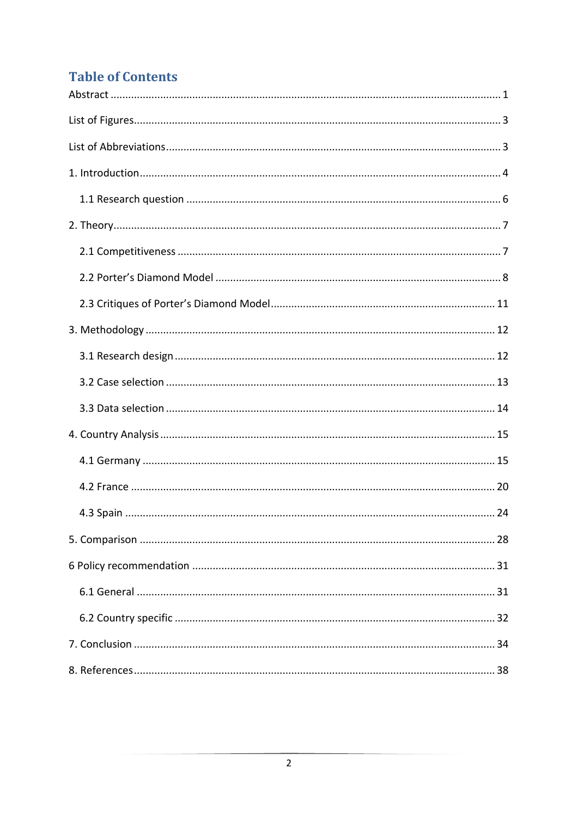# **Table of Contents**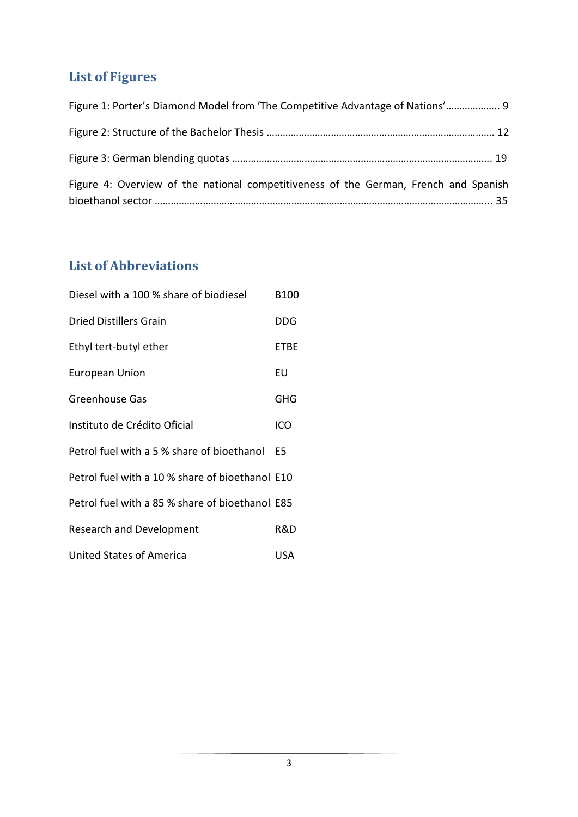# <span id="page-3-0"></span>**List of Figures**

| Figure 1: Porter's Diamond Model from 'The Competitive Advantage of Nations' 9       |  |
|--------------------------------------------------------------------------------------|--|
|                                                                                      |  |
|                                                                                      |  |
| Figure 4: Overview of the national competitiveness of the German, French and Spanish |  |

## <span id="page-3-1"></span>**List of Abbreviations**

| Diesel with a 100 % share of biodiesel          | <b>B100</b> |
|-------------------------------------------------|-------------|
| <b>Dried Distillers Grain</b>                   | DDG         |
| Ethyl tert-butyl ether                          | <b>ETBE</b> |
| European Union                                  | EU          |
| Greenhouse Gas                                  | <b>GHG</b>  |
| Instituto de Crédito Oficial                    | ICO         |
| Petrol fuel with a 5 % share of bioethanol      | E5          |
| Petrol fuel with a 10 % share of bioethanol E10 |             |
| Petrol fuel with a 85 % share of bioethanol E85 |             |
| <b>Research and Development</b>                 | R&D         |
| United States of America                        | USA         |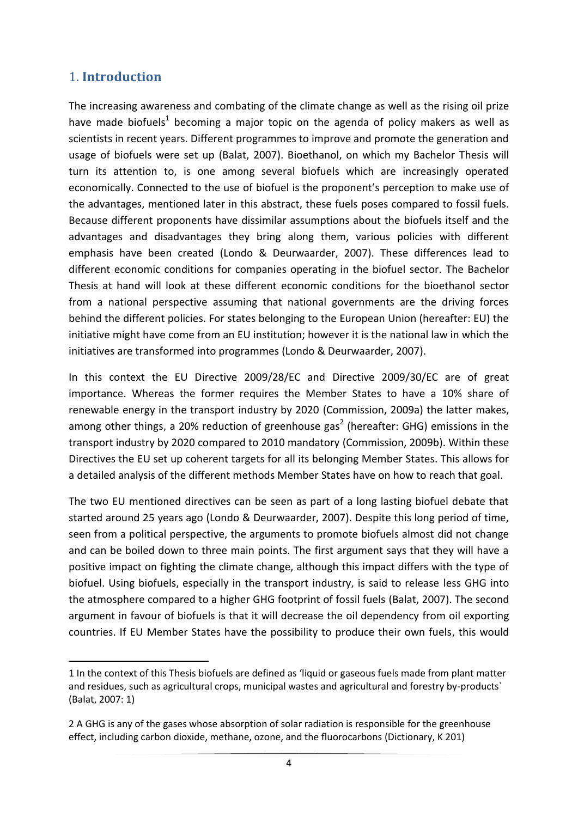## <span id="page-4-0"></span>1. **Introduction**

**.** 

The increasing awareness and combating of the climate change as well as the rising oil prize have made biofuels<sup>1</sup> becoming a major topic on the agenda of policy makers as well as scientists in recent years. Different programmes to improve and promote the generation and usage of biofuels were set up [\(Balat, 2007\)](#page-38-1). Bioethanol, on which my Bachelor Thesis will turn its attention to, is one among several biofuels which are increasingly operated economically. Connected to the use of biofuel is the proponent's perception to make use of the advantages, mentioned later in this abstract, these fuels poses compared to fossil fuels. Because different proponents have dissimilar assumptions about the biofuels itself and the advantages and disadvantages they bring along them, various policies with different emphasis have been created [\(Londo & Deurwaarder, 2007\)](#page-40-0). These differences lead to different economic conditions for companies operating in the biofuel sector. The Bachelor Thesis at hand will look at these different economic conditions for the bioethanol sector from a national perspective assuming that national governments are the driving forces behind the different policies. For states belonging to the European Union (hereafter: EU) the initiative might have come from an EU institution; however it is the national law in which the initiatives are transformed into programmes [\(Londo & Deurwaarder, 2007\)](#page-40-0).

In this context the EU Directive 2009/28/EC and Directive 2009/30/EC are of great importance. Whereas the former requires the Member States to have a 10% share of renewable energy in the transport industry by 2020 [\(Commission, 2009a\)](#page-38-2) the latter makes, among other things, a 20% reduction of greenhouse gas<sup>2</sup> (hereafter: GHG) emissions in the transport industry by 2020 compared to 2010 mandatory [\(Commission, 2009b\)](#page-38-3). Within these Directives the EU set up coherent targets for all its belonging Member States. This allows for a detailed analysis of the different methods Member States have on how to reach that goal.

The two EU mentioned directives can be seen as part of a long lasting biofuel debate that started around 25 years ago [\(Londo & Deurwaarder, 2007\)](#page-40-0). Despite this long period of time, seen from a political perspective, the arguments to promote biofuels almost did not change and can be boiled down to three main points. The first argument says that they will have a positive impact on fighting the climate change, although this impact differs with the type of biofuel. Using biofuels, especially in the transport industry, is said to release less GHG into the atmosphere compared to a higher GHG footprint of fossil fuels [\(Balat, 2007\)](#page-38-1). The second argument in favour of biofuels is that it will decrease the oil dependency from oil exporting countries. If EU Member States have the possibility to produce their own fuels, this would

<sup>1</sup> In the context of this Thesis biofuels are defined as 'liquid or gaseous fuels made from plant matter and residues, such as agricultural crops, municipal wastes and agricultural and forestry by-products` (Balat, 2007: 1)

<sup>2</sup> A GHG is any of the gases whose absorption of solar radiation is responsible for the greenhouse effect, including carbon dioxide, methane, ozone, and the fluorocarbons (Dictionary, K 201)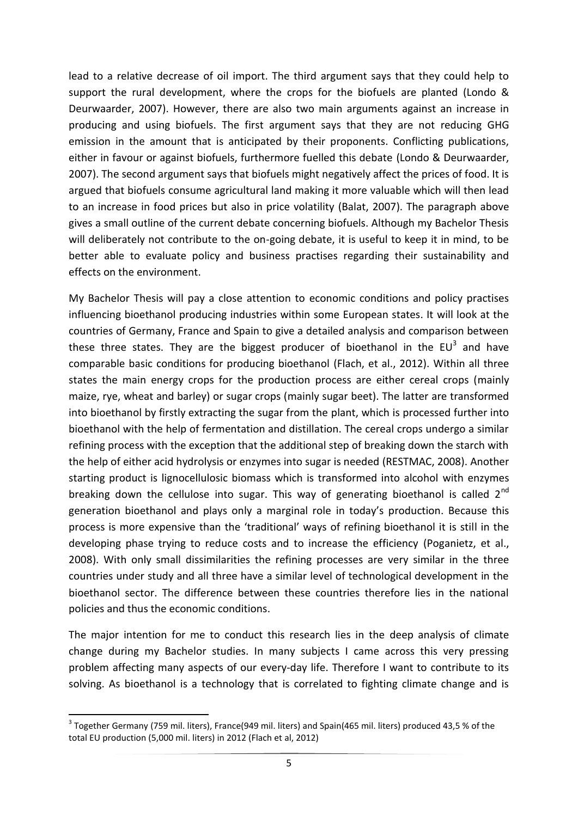lead to a relative decrease of oil import. The third argument says that they could help to support the rural development, where the crops for the biofuels are planted [\(Londo &](#page-40-0)  [Deurwaarder, 2007\)](#page-40-0). However, there are also two main arguments against an increase in producing and using biofuels. The first argument says that they are not reducing GHG emission in the amount that is anticipated by their proponents. Conflicting publications, either in favour or against biofuels, furthermore fuelled this debate [\(Londo & Deurwaarder,](#page-40-0)  [2007\)](#page-40-0). The second argument says that biofuels might negatively affect the prices of food. It is argued that biofuels consume agricultural land making it more valuable which will then lead to an increase in food prices but also in price volatility [\(Balat, 2007\)](#page-38-1). The paragraph above gives a small outline of the current debate concerning biofuels. Although my Bachelor Thesis will deliberately not contribute to the on-going debate, it is useful to keep it in mind, to be better able to evaluate policy and business practises regarding their sustainability and effects on the environment.

My Bachelor Thesis will pay a close attention to economic conditions and policy practises influencing bioethanol producing industries within some European states. It will look at the countries of Germany, France and Spain to give a detailed analysis and comparison between these three states. They are the biggest producer of bioethanol in the  $EU^3$  and have comparable basic conditions for producing bioethanol [\(Flach, et al., 2012\)](#page-39-0). Within all three states the main energy crops for the production process are either cereal crops (mainly maize, rye, wheat and barley) or sugar crops (mainly sugar beet). The latter are transformed into bioethanol by firstly extracting the sugar from the plant, which is processed further into bioethanol with the help of fermentation and distillation. The cereal crops undergo a similar refining process with the exception that the additional step of breaking down the starch with the help of either acid hydrolysis or enzymes into sugar is needed [\(RESTMAC, 2008\)](#page-41-0). Another starting product is lignocellulosic biomass which is transformed into alcohol with enzymes breaking down the cellulose into sugar. This way of generating bioethanol is called  $2^{nd}$ generation bioethanol and plays only a marginal role in today's production. Because this process is more expensive than the 'traditional' ways of refining bioethanol it is still in the developing phase trying to reduce costs and to increase the efficiency [\(Poganietz, et al.,](#page-41-1)  [2008\)](#page-41-1). With only small dissimilarities the refining processes are very similar in the three countries under study and all three have a similar level of technological development in the bioethanol sector. The difference between these countries therefore lies in the national policies and thus the economic conditions.

The major intention for me to conduct this research lies in the deep analysis of climate change during my Bachelor studies. In many subjects I came across this very pressing problem affecting many aspects of our every-day life. Therefore I want to contribute to its solving. As bioethanol is a technology that is correlated to fighting climate change and is

 $\overline{a}$ 

 $^3$  Together Germany (759 mil. liters), France(949 mil. liters) and Spain(465 mil. liters) produced 43,5 % of the total EU production (5,000 mil. liters) in 2012 (Flach et al, 2012)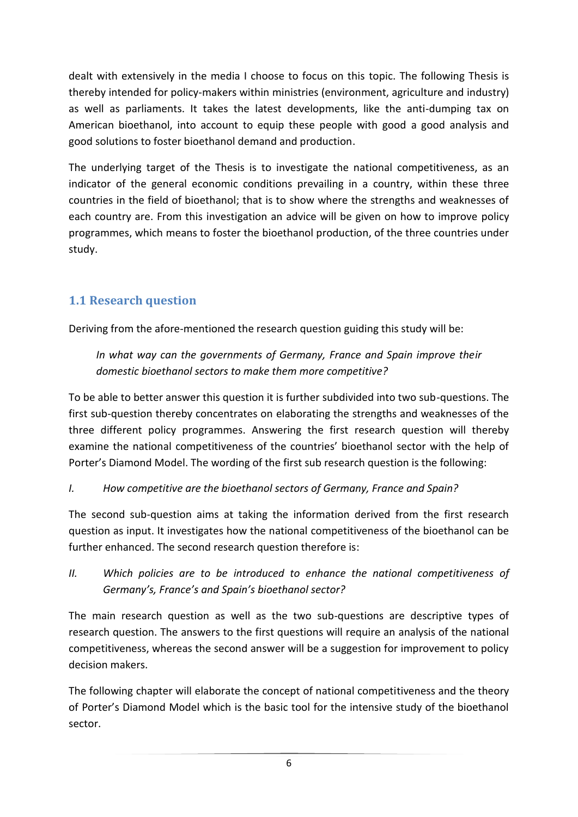dealt with extensively in the media I choose to focus on this topic. The following Thesis is thereby intended for policy-makers within ministries (environment, agriculture and industry) as well as parliaments. It takes the latest developments, like the anti-dumping tax on American bioethanol, into account to equip these people with good a good analysis and good solutions to foster bioethanol demand and production.

The underlying target of the Thesis is to investigate the national competitiveness, as an indicator of the general economic conditions prevailing in a country, within these three countries in the field of bioethanol; that is to show where the strengths and weaknesses of each country are. From this investigation an advice will be given on how to improve policy programmes, which means to foster the bioethanol production, of the three countries under study.

## <span id="page-6-0"></span>**1.1 Research question**

Deriving from the afore-mentioned the research question guiding this study will be:

*In what way can the governments of Germany, France and Spain improve their domestic bioethanol sectors to make them more competitive?*

To be able to better answer this question it is further subdivided into two sub-questions. The first sub-question thereby concentrates on elaborating the strengths and weaknesses of the three different policy programmes. Answering the first research question will thereby examine the national competitiveness of the countries' bioethanol sector with the help of Porter's Diamond Model. The wording of the first sub research question is the following:

#### *I. How competitive are the bioethanol sectors of Germany, France and Spain?*

The second sub-question aims at taking the information derived from the first research question as input. It investigates how the national competitiveness of the bioethanol can be further enhanced. The second research question therefore is:

*II. Which policies are to be introduced to enhance the national competitiveness of Germany's, France's and Spain's bioethanol sector?*

The main research question as well as the two sub-questions are descriptive types of research question. The answers to the first questions will require an analysis of the national competitiveness, whereas the second answer will be a suggestion for improvement to policy decision makers.

The following chapter will elaborate the concept of national competitiveness and the theory of Porter's Diamond Model which is the basic tool for the intensive study of the bioethanol sector.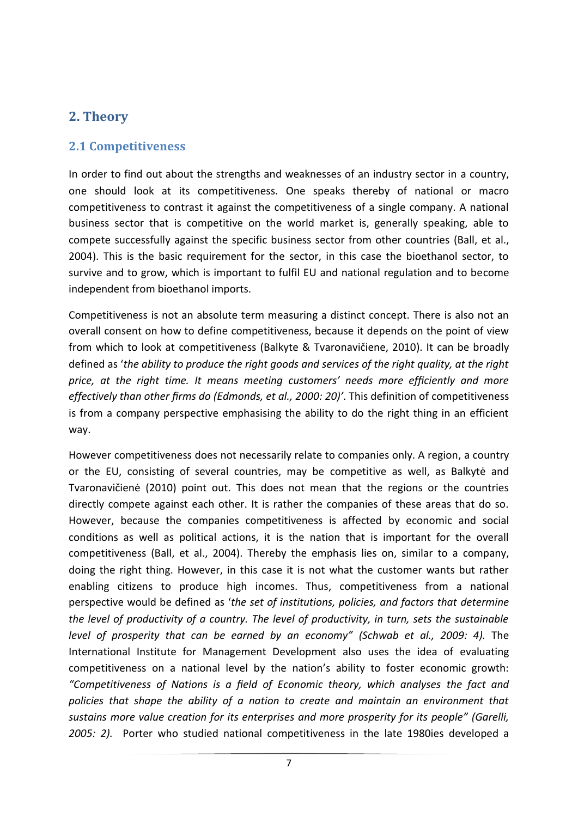## <span id="page-7-0"></span>**2. Theory**

#### <span id="page-7-1"></span>**2.1 Competitiveness**

In order to find out about the strengths and weaknesses of an industry sector in a country, one should look at its competitiveness. One speaks thereby of national or macro competitiveness to contrast it against the competitiveness of a single company. A national business sector that is competitive on the world market is, generally speaking, able to compete successfully against the specific business sector from other countries [\(Ball, et al.,](#page-38-4)  [2004\)](#page-38-4). This is the basic requirement for the sector, in this case the bioethanol sector, to survive and to grow, which is important to fulfil EU and national regulation and to become independent from bioethanol imports.

Competitiveness is not an absolute term measuring a distinct concept. There is also not an overall consent on how to define competitiveness, because it depends on the point of view from which to look at competitiveness ([Balkyte & Tvaronavičiene, 2010](#page-38-5)). It can be broadly defined as '*the ability to produce the right goods and services of the right quality, at the right price, at the right time. It means meeting customers' needs more efficiently and more effectively than other firms do [\(Edmonds, et al., 2000:](#page-39-1) 20)'*. This definition of competitiveness is from a company perspective emphasising the ability to do the right thing in an efficient way.

However competitiveness does not necessarily relate to companies only. A region, a country or the EU, consisting of several countries, may be competitive as well, as Balkytė and Tvaronavičienė (2010) point out. This does not mean that the regions or the countries directly compete against each other. It is rather the companies of these areas that do so. However, because the companies competitiveness is affected by economic and social conditions as well as political actions, it is the nation that is important for the overall competitiveness [\(Ball, et al., 2004\)](#page-38-4). Thereby the emphasis lies on, similar to a company, doing the right thing. However, in this case it is not what the customer wants but rather enabling citizens to produce high incomes. Thus, competitiveness from a national perspective would be defined as '*the set of institutions, policies, and factors that determine the level of productivity of a country. The level of productivity, in turn, sets the sustainable level of prosperity that can be earned by an economy" [\(Schwab et al., 2009:](#page-41-2) 4).* The International Institute for Management Development also uses the idea of evaluating competitiveness on a national level by the nation's ability to foster economic growth: *"Competitiveness of Nations is a field of Economic theory, which analyses the fact and policies that shape the ability of a nation to create and maintain an environment that sustains more value creation for its enterprises and more prosperity for its people" [\(Garelli,](#page-40-1)  [2005:](#page-40-1) 2).* Porter who studied national competitiveness in the late 1980ies developed a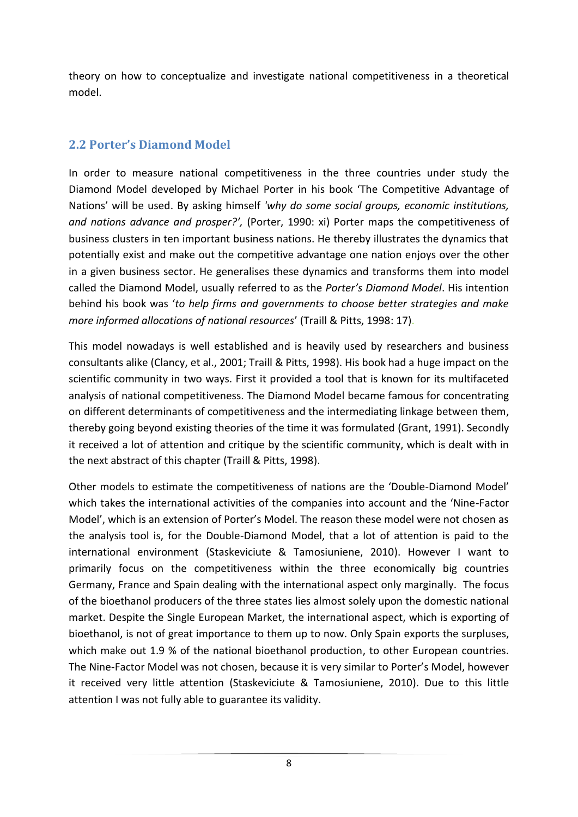theory on how to conceptualize and investigate national competitiveness in a theoretical model.

## <span id="page-8-0"></span>**2.2 Porter's Diamond Model**

In order to measure national competitiveness in the three countries under study the Diamond Model developed by Michael Porter in his book 'The Competitive Advantage of Nations' will be used. By asking himself *'why do some social groups, economic institutions, and nations advance and prosper?',* (Porter, 1990: xi) Porter maps the competitiveness of business clusters in ten important business nations. He thereby illustrates the dynamics that potentially exist and make out the competitive advantage one nation enjoys over the other in a given business sector. He generalises these dynamics and transforms them into model called the Diamond Model, usually referred to as the *Porter's Diamond Model*. His intention behind his book was '*to help firms and governments to choose better strategies and make more informed allocations of national resources*' [\(Traill & Pitts, 1998:](#page-42-0) 17).

This model nowadays is well established and is heavily used by researchers and business consultants alike [\(Clancy, et al., 2001;](#page-38-6) [Traill & Pitts, 1998\)](#page-42-0). His book had a huge impact on the scientific community in two ways. First it provided a tool that is known for its multifaceted analysis of national competitiveness. The Diamond Model became famous for concentrating on different determinants of competitiveness and the intermediating linkage between them, thereby going beyond existing theories of the time it was formulated [\(Grant, 1991\)](#page-40-2). Secondly it received a lot of attention and critique by the scientific community, which is dealt with in the next abstract of this chapter [\(Traill & Pitts, 1998\)](#page-42-0).

Other models to estimate the competitiveness of nations are the 'Double-Diamond Model' which takes the international activities of the companies into account and the 'Nine-Factor Model', which is an extension of Porter's Model. The reason these model were not chosen as the analysis tool is, for the Double-Diamond Model, that a lot of attention is paid to the international environment [\(Staskeviciute & Tamosiuniene, 2010\)](#page-41-3). However I want to primarily focus on the competitiveness within the three economically big countries Germany, France and Spain dealing with the international aspect only marginally. The focus of the bioethanol producers of the three states lies almost solely upon the domestic national market. Despite the Single European Market, the international aspect, which is exporting of bioethanol, is not of great importance to them up to now. Only Spain exports the surpluses, which make out 1.9 % of the national bioethanol production, to other European countries. The Nine-Factor Model was not chosen, because it is very similar to Porter's Model, however it received very little attention [\(Staskeviciute & Tamosiuniene, 2010\)](#page-41-3). Due to this little attention I was not fully able to guarantee its validity.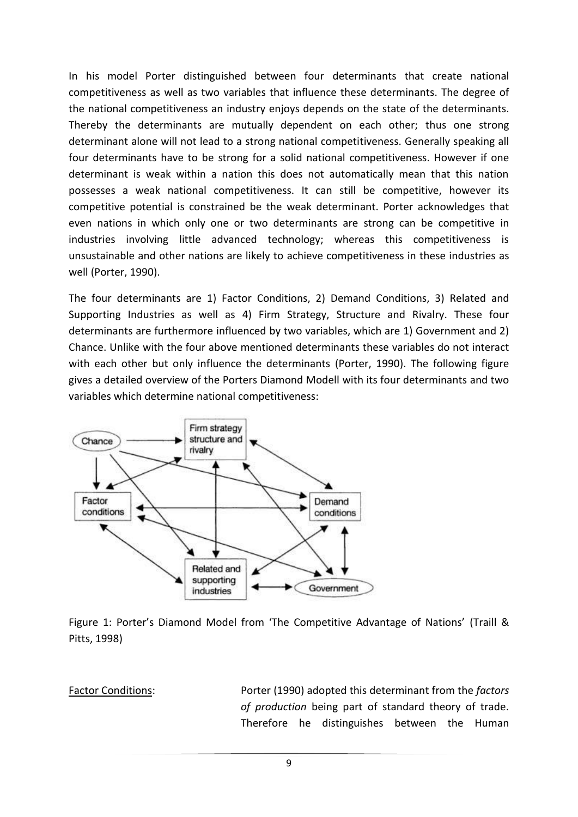In his model Porter distinguished between four determinants that create national competitiveness as well as two variables that influence these determinants. The degree of the national competitiveness an industry enjoys depends on the state of the determinants. Thereby the determinants are mutually dependent on each other; thus one strong determinant alone will not lead to a strong national competitiveness. Generally speaking all four determinants have to be strong for a solid national competitiveness. However if one determinant is weak within a nation this does not automatically mean that this nation possesses a weak national competitiveness. It can still be competitive, however its competitive potential is constrained be the weak determinant. Porter acknowledges that even nations in which only one or two determinants are strong can be competitive in industries involving little advanced technology; whereas this competitiveness is unsustainable and other nations are likely to achieve competitiveness in these industries as well [\(Porter, 1990\)](#page-41-4).

The four determinants are 1) Factor Conditions, 2) Demand Conditions, 3) Related and Supporting Industries as well as 4) Firm Strategy, Structure and Rivalry. These four determinants are furthermore influenced by two variables, which are 1) Government and 2) Chance. Unlike with the four above mentioned determinants these variables do not interact with each other but only influence the determinants [\(Porter, 1990\)](#page-41-4). The following figure gives a detailed overview of the Porters Diamond Modell with its four determinants and two variables which determine national competitiveness:



Figure 1: Porter's Diamond Model from 'The Competitive Advantage of Nations' [\(Traill &](#page-42-0)  [Pitts, 1998\)](#page-42-0)

Factor Conditions: Porter (1990) adopted this determinant from the *factors of production* being part of standard theory of trade. Therefore he distinguishes between the Human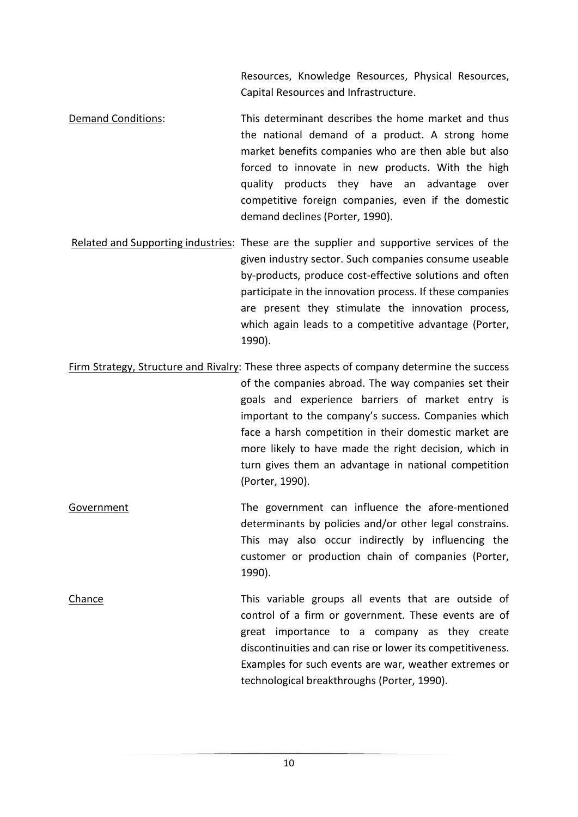Resources, Knowledge Resources, Physical Resources, Capital Resources and Infrastructure.

- Demand Conditions: This determinant describes the home market and thus the national demand of a product. A strong home market benefits companies who are then able but also forced to innovate in new products. With the high quality products they have an advantage over competitive foreign companies, even if the domestic demand declines [\(Porter, 1990\)](#page-41-4).
- Related and Supporting industries: These are the supplier and supportive services of the given industry sector. Such companies consume useable by-products, produce cost-effective solutions and often participate in the innovation process. If these companies are present they stimulate the innovation process, which again leads to a competitive advantage [\(Porter,](#page-41-4)  [1990\)](#page-41-4).
- Firm Strategy, Structure and Rivalry: These three aspects of company determine the success of the companies abroad. The way companies set their goals and experience barriers of market entry is important to the company's success. Companies which face a harsh competition in their domestic market are more likely to have made the right decision, which in turn gives them an advantage in national competition [\(Porter, 1990\)](#page-41-4).
- Government The government can influence the afore-mentioned determinants by policies and/or other legal constrains. This may also occur indirectly by influencing the customer or production chain of companies [\(Porter,](#page-41-4)  [1990\)](#page-41-4).
- Chance Chance This variable groups all events that are outside of control of a firm or government. These events are of great importance to a company as they create discontinuities and can rise or lower its competitiveness. Examples for such events are war, weather extremes or technological breakthroughs [\(Porter, 1990\)](#page-41-4).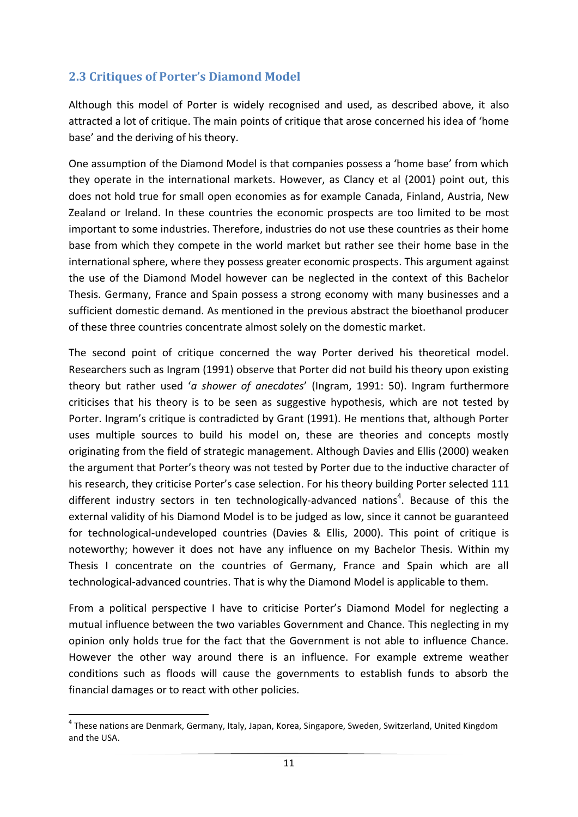## <span id="page-11-0"></span>**2.3 Critiques of Porter's Diamond Model**

Although this model of Porter is widely recognised and used, as described above, it also attracted a lot of critique. The main points of critique that arose concerned his idea of 'home base' and the deriving of his theory.

One assumption of the Diamond Model is that companies possess a 'home base' from which they operate in the international markets. However, as Clancy et al (2001) point out, this does not hold true for small open economies as for example Canada, Finland, Austria, New Zealand or Ireland. In these countries the economic prospects are too limited to be most important to some industries. Therefore, industries do not use these countries as their home base from which they compete in the world market but rather see their home base in the international sphere, where they possess greater economic prospects. This argument against the use of the Diamond Model however can be neglected in the context of this Bachelor Thesis. Germany, France and Spain possess a strong economy with many businesses and a sufficient domestic demand. As mentioned in the previous abstract the bioethanol producer of these three countries concentrate almost solely on the domestic market.

The second point of critique concerned the way Porter derived his theoretical model. Researchers such as Ingram (1991) observe that Porter did not build his theory upon existing theory but rather used '*a shower of anecdotes*' [\(Ingram, 1991:](#page-40-3) 50). Ingram furthermore criticises that his theory is to be seen as suggestive hypothesis, which are not tested by Porter. Ingram's critique is contradicted by Grant (1991). He mentions that, although Porter uses multiple sources to build his model on, these are theories and concepts mostly originating from the field of strategic management. Although Davies and Ellis (2000) weaken the argument that Porter's theory was not tested by Porter due to the inductive character of his research, they criticise Porter's case selection. For his theory building Porter selected 111 different industry sectors in ten technologically-advanced nations<sup>4</sup>. Because of this the external validity of his Diamond Model is to be judged as low, since it cannot be guaranteed for technological-undeveloped countries [\(Davies & Ellis, 2000\)](#page-39-2). This point of critique is noteworthy; however it does not have any influence on my Bachelor Thesis. Within my Thesis I concentrate on the countries of Germany, France and Spain which are all technological-advanced countries. That is why the Diamond Model is applicable to them.

From a political perspective I have to criticise Porter's Diamond Model for neglecting a mutual influence between the two variables Government and Chance. This neglecting in my opinion only holds true for the fact that the Government is not able to influence Chance. However the other way around there is an influence. For example extreme weather conditions such as floods will cause the governments to establish funds to absorb the financial damages or to react with other policies.

 $\overline{a}$ 

<sup>&</sup>lt;sup>4</sup> These nations are Denmark, Germany, Italy, Japan, Korea, Singapore, Sweden, Switzerland, United Kingdom and the USA.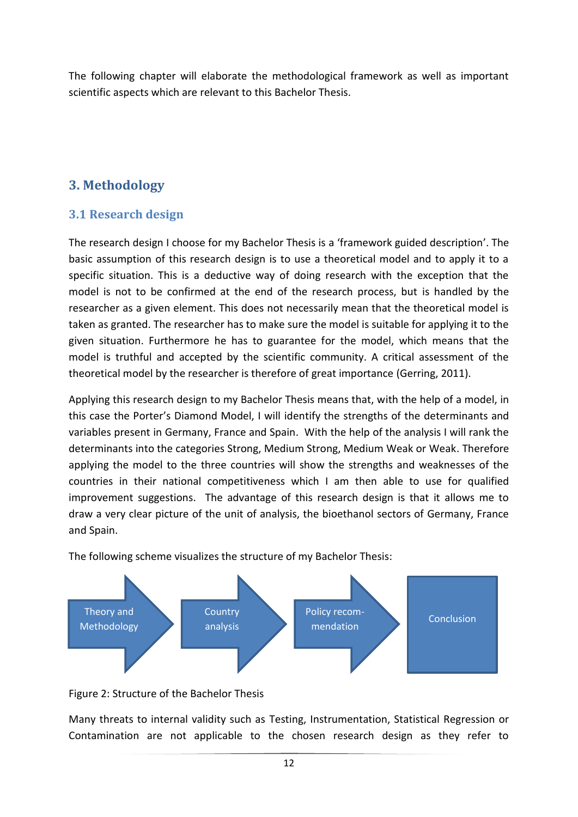The following chapter will elaborate the methodological framework as well as important scientific aspects which are relevant to this Bachelor Thesis.

## <span id="page-12-0"></span>**3. Methodology**

## <span id="page-12-1"></span>**3.1 Research design**

The research design I choose for my Bachelor Thesis is a 'framework guided description'. The basic assumption of this research design is to use a theoretical model and to apply it to a specific situation. This is a deductive way of doing research with the exception that the model is not to be confirmed at the end of the research process, but is handled by the researcher as a given element. This does not necessarily mean that the theoretical model is taken as granted. The researcher has to make sure the model is suitable for applying it to the given situation. Furthermore he has to guarantee for the model, which means that the model is truthful and accepted by the scientific community. A critical assessment of the theoretical model by the researcher is therefore of great importance [\(Gerring, 2011\)](#page-40-4).

Applying this research design to my Bachelor Thesis means that, with the help of a model, in this case the Porter's Diamond Model, I will identify the strengths of the determinants and variables present in Germany, France and Spain. With the help of the analysis I will rank the determinants into the categories Strong, Medium Strong, Medium Weak or Weak. Therefore applying the model to the three countries will show the strengths and weaknesses of the countries in their national competitiveness which I am then able to use for qualified improvement suggestions. The advantage of this research design is that it allows me to draw a very clear picture of the unit of analysis, the bioethanol sectors of Germany, France and Spain.



The following scheme visualizes the structure of my Bachelor Thesis:

#### Figure 2: Structure of the Bachelor Thesis

Many threats to internal validity such as Testing, Instrumentation, Statistical Regression or Contamination are not applicable to the chosen research design as they refer to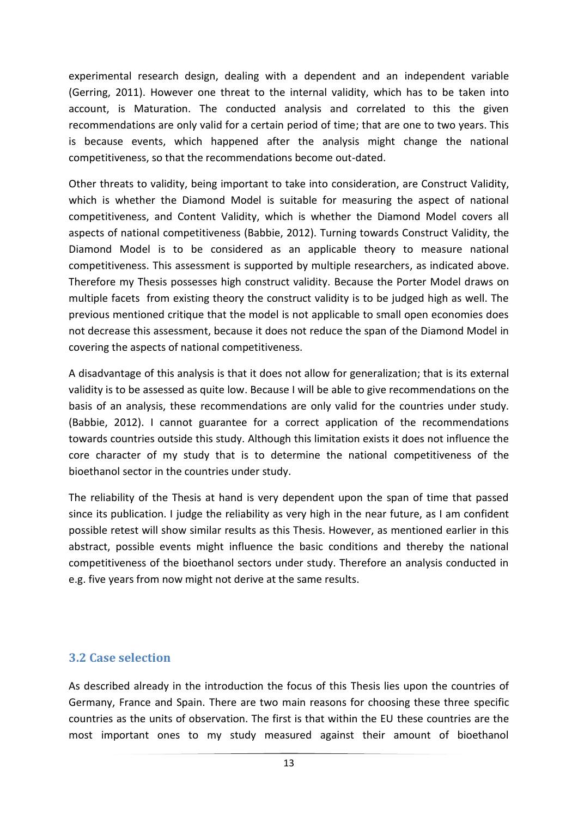experimental research design, dealing with a dependent and an independent variable (Gerring, 2011). However one threat to the internal validity, which has to be taken into account, is Maturation. The conducted analysis and correlated to this the given recommendations are only valid for a certain period of time; that are one to two years. This is because events, which happened after the analysis might change the national competitiveness, so that the recommendations become out-dated.

Other threats to validity, being important to take into consideration, are Construct Validity, which is whether the Diamond Model is suitable for measuring the aspect of national competitiveness, and Content Validity, which is whether the Diamond Model covers all aspects of national competitiveness (Babbie, 2012). Turning towards Construct Validity, the Diamond Model is to be considered as an applicable theory to measure national competitiveness. This assessment is supported by multiple researchers, as indicated above. Therefore my Thesis possesses high construct validity. Because the Porter Model draws on multiple facets from existing theory the construct validity is to be judged high as well. The previous mentioned critique that the model is not applicable to small open economies does not decrease this assessment, because it does not reduce the span of the Diamond Model in covering the aspects of national competitiveness.

A disadvantage of this analysis is that it does not allow for generalization; that is its external validity is to be assessed as quite low. Because I will be able to give recommendations on the basis of an analysis, these recommendations are only valid for the countries under study. [\(Babbie, 2012\)](#page-38-7). I cannot guarantee for a correct application of the recommendations towards countries outside this study. Although this limitation exists it does not influence the core character of my study that is to determine the national competitiveness of the bioethanol sector in the countries under study.

The reliability of the Thesis at hand is very dependent upon the span of time that passed since its publication. I judge the reliability as very high in the near future, as I am confident possible retest will show similar results as this Thesis. However, as mentioned earlier in this abstract, possible events might influence the basic conditions and thereby the national competitiveness of the bioethanol sectors under study. Therefore an analysis conducted in e.g. five years from now might not derive at the same results.

#### <span id="page-13-0"></span>**3.2 Case selection**

As described already in the introduction the focus of this Thesis lies upon the countries of Germany, France and Spain. There are two main reasons for choosing these three specific countries as the units of observation. The first is that within the EU these countries are the most important ones to my study measured against their amount of bioethanol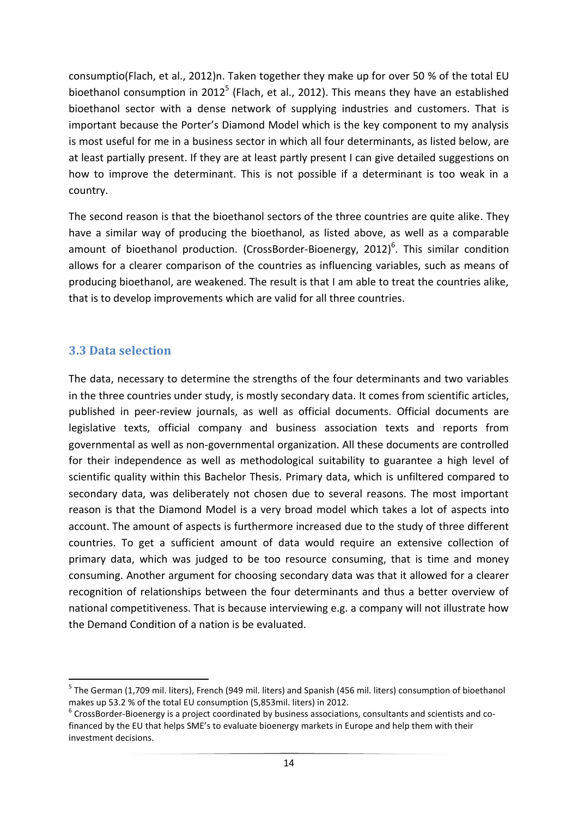consumptio[\(Flach, et al., 2012\)](#page-39-0)n. Taken together they make up for over 50 % of the total EU bioethanol consumption in 2012<sup>5</sup> [\(Flach, et al., 2012\)](#page-39-0). This means they have an established bioethanol sector with a dense network of supplying industries and customers. That is important because the Porter's Diamond Model which is the key component to my analysis is most useful for me in a business sector in which all four determinants, as listed below, are at least partially present. If they are at least partly present I can give detailed suggestions on how to improve the determinant. This is not possible if a determinant is too weak in a country.

The second reason is that the bioethanol sectors of the three countries are quite alike. They have a similar way of producing the bioethanol, as listed above, as well as a comparable amount of bioethanol production. [\(CrossBorder-Bioenergy, 2012\)](#page-39-3)<sup>6</sup>. This similar condition allows for a clearer comparison of the countries as influencing variables, such as means of producing bioethanol, are weakened. The result is that I am able to treat the countries alike, that is to develop improvements which are valid for all three countries.

## <span id="page-14-0"></span>**3.3 Data selection**

**.** 

The data, necessary to determine the strengths of the four determinants and two variables in the three countries under study, is mostly secondary data. It comes from scientific articles, published in peer-review journals, as well as official documents. Official documents are legislative texts, official company and business association texts and reports from governmental as well as non-governmental organization. All these documents are controlled for their independence as well as methodological suitability to guarantee a high level of scientific quality within this Bachelor Thesis. Primary data, which is unfiltered compared to secondary data, was deliberately not chosen due to several reasons. The most important reason is that the Diamond Model is a very broad model which takes a lot of aspects into account. The amount of aspects is furthermore increased due to the study of three different countries. To get a sufficient amount of data would require an extensive collection of primary data, which was judged to be too resource consuming, that is time and money consuming. Another argument for choosing secondary data was that it allowed for a clearer recognition of relationships between the four determinants and thus a better overview of national competitiveness. That is because interviewing e.g. a company will not illustrate how the Demand Condition of a nation is be evaluated.

<sup>&</sup>lt;sup>5</sup> The German (1,709 mil. liters), French (949 mil. liters) and Spanish (456 mil. liters) consumption of bioethanol makes up 53.2 % of the total EU consumption (5,853mil. liters) in 2012.

 $^6$  CrossBorder-Bioenergy is a project coordinated by business associations, consultants and scientists and cofinanced by the EU that helps SME's to evaluate bioenergy markets in Europe and help them with their investment decisions.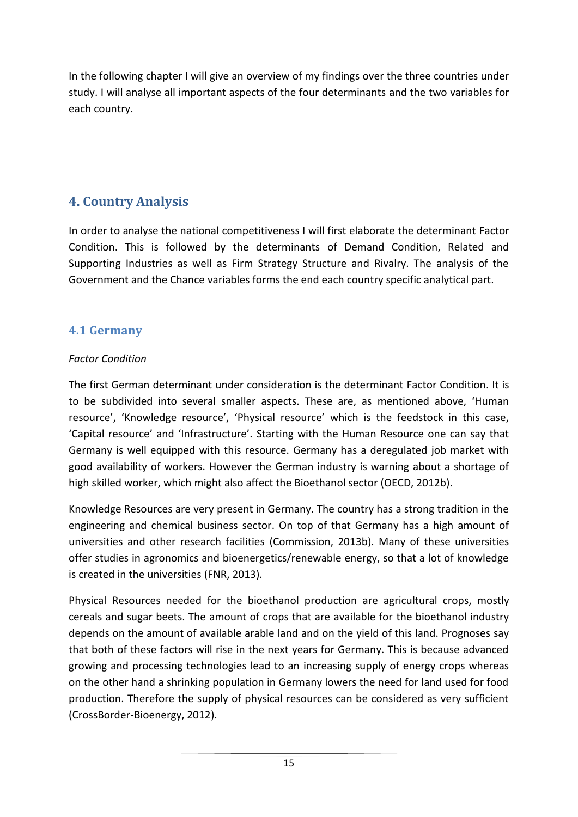In the following chapter I will give an overview of my findings over the three countries under study. I will analyse all important aspects of the four determinants and the two variables for each country.

## <span id="page-15-0"></span>**4. Country Analysis**

In order to analyse the national competitiveness I will first elaborate the determinant Factor Condition. This is followed by the determinants of Demand Condition, Related and Supporting Industries as well as Firm Strategy Structure and Rivalry. The analysis of the Government and the Chance variables forms the end each country specific analytical part.

## <span id="page-15-1"></span>**4.1 Germany**

#### *Factor Condition*

The first German determinant under consideration is the determinant Factor Condition. It is to be subdivided into several smaller aspects. These are, as mentioned above, 'Human resource', 'Knowledge resource', 'Physical resource' which is the feedstock in this case, 'Capital resource' and 'Infrastructure'. Starting with the Human Resource one can say that Germany is well equipped with this resource. Germany has a deregulated job market with good availability of workers. However the German industry is warning about a shortage of high skilled worker, which might also affect the Bioethanol sector [\(OECD, 2012b\)](#page-41-5).

Knowledge Resources are very present in Germany. The country has a strong tradition in the engineering and chemical business sector. On top of that Germany has a high amount of universities and other research facilities [\(Commission, 2013b\)](#page-39-4). Many of these universities offer studies in agronomics and bioenergetics/renewable energy, so that a lot of knowledge is created in the universities [\(FNR, 2013\)](#page-39-5).

Physical Resources needed for the bioethanol production are agricultural crops, mostly cereals and sugar beets. The amount of crops that are available for the bioethanol industry depends on the amount of available arable land and on the yield of this land. Prognoses say that both of these factors will rise in the next years for Germany. This is because advanced growing and processing technologies lead to an increasing supply of energy crops whereas on the other hand a shrinking population in Germany lowers the need for land used for food production. Therefore the supply of physical resources can be considered as very sufficient [\(CrossBorder-Bioenergy, 2012\)](#page-39-3).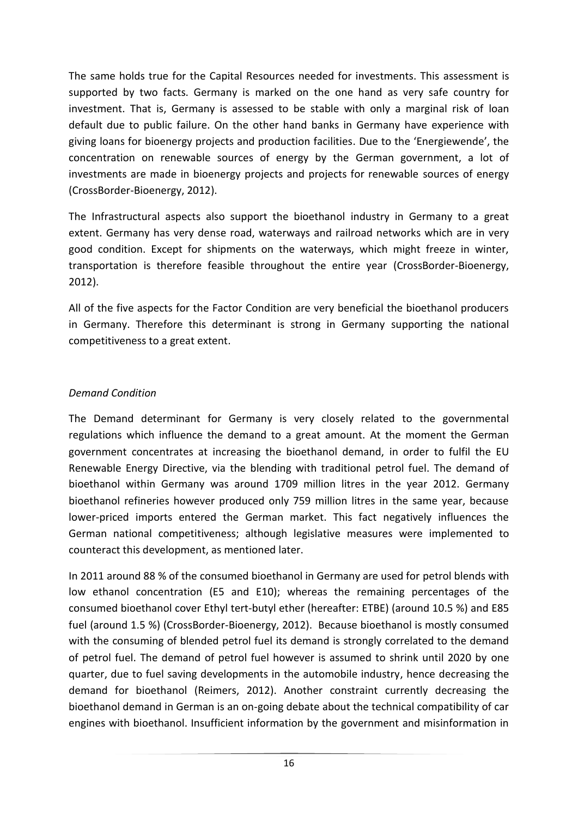The same holds true for the Capital Resources needed for investments. This assessment is supported by two facts. Germany is marked on the one hand as very safe country for investment. That is, Germany is assessed to be stable with only a marginal risk of loan default due to public failure. On the other hand banks in Germany have experience with giving loans for bioenergy projects and production facilities. Due to the 'Energiewende', the concentration on renewable sources of energy by the German government, a lot of investments are made in bioenergy projects and projects for renewable sources of energy [\(CrossBorder-Bioenergy, 2012\)](#page-39-3).

The Infrastructural aspects also support the bioethanol industry in Germany to a great extent. Germany has very dense road, waterways and railroad networks which are in very good condition. Except for shipments on the waterways, which might freeze in winter, transportation is therefore feasible throughout the entire year [\(CrossBorder-Bioenergy,](#page-39-3)  [2012\)](#page-39-3).

All of the five aspects for the Factor Condition are very beneficial the bioethanol producers in Germany. Therefore this determinant is strong in Germany supporting the national competitiveness to a great extent.

#### *Demand Condition*

The Demand determinant for Germany is very closely related to the governmental regulations which influence the demand to a great amount. At the moment the German government concentrates at increasing the bioethanol demand, in order to fulfil the EU Renewable Energy Directive, via the blending with traditional petrol fuel. The demand of bioethanol within Germany was around 1709 million litres in the year 2012. Germany bioethanol refineries however produced only 759 million litres in the same year, because lower-priced imports entered the German market. This fact negatively influences the German national competitiveness; although legislative measures were implemented to counteract this development, as mentioned later.

In 2011 around 88 % of the consumed bioethanol in Germany are used for petrol blends with low ethanol concentration (E5 and E10); whereas the remaining percentages of the consumed bioethanol cover Ethyl tert-butyl ether (hereafter: ETBE) (around 10.5 %) and E85 fuel (around 1.5 %) [\(CrossBorder-Bioenergy, 2012\)](#page-39-3). Because bioethanol is mostly consumed with the consuming of blended petrol fuel its demand is strongly correlated to the demand of petrol fuel. The demand of petrol fuel however is assumed to shrink until 2020 by one quarter, due to fuel saving developments in the automobile industry, hence decreasing the demand for bioethanol [\(Reimers, 2012\)](#page-41-6). Another constraint currently decreasing the bioethanol demand in German is an on-going debate about the technical compatibility of car engines with bioethanol. Insufficient information by the government and misinformation in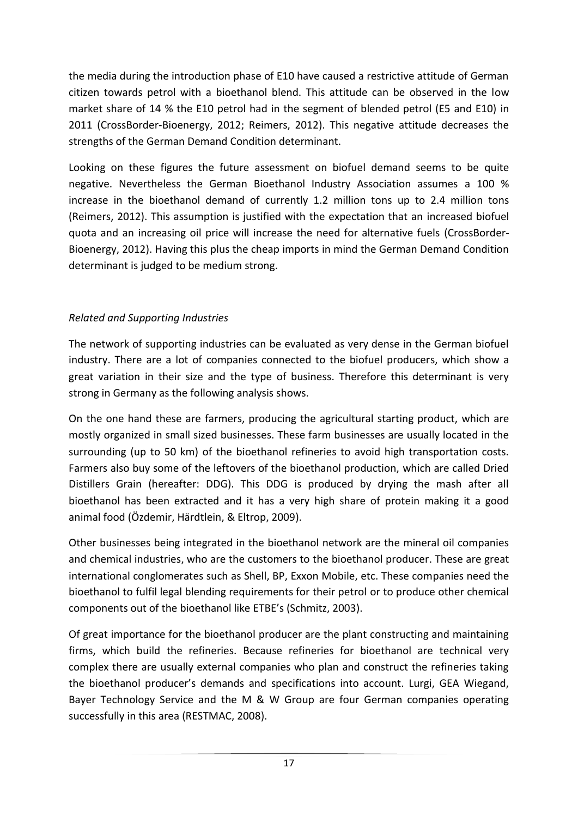the media during the introduction phase of E10 have caused a restrictive attitude of German citizen towards petrol with a bioethanol blend. This attitude can be observed in the low market share of 14 % the E10 petrol had in the segment of blended petrol (E5 and E10) in 2011 [\(CrossBorder-Bioenergy, 2012;](#page-39-3) [Reimers, 2012\)](#page-41-6). This negative attitude decreases the strengths of the German Demand Condition determinant.

Looking on these figures the future assessment on biofuel demand seems to be quite negative. Nevertheless the German Bioethanol Industry Association assumes a 100 % increase in the bioethanol demand of currently 1.2 million tons up to 2.4 million tons [\(Reimers, 2012\)](#page-41-6). This assumption is justified with the expectation that an increased biofuel quota and an increasing oil price will increase the need for alternative fuels [\(CrossBorder-](#page-39-3)[Bioenergy, 2012\)](#page-39-3). Having this plus the cheap imports in mind the German Demand Condition determinant is judged to be medium strong.

#### *Related and Supporting Industries*

The network of supporting industries can be evaluated as very dense in the German biofuel industry. There are a lot of companies connected to the biofuel producers, which show a great variation in their size and the type of business. Therefore this determinant is very strong in Germany as the following analysis shows.

On the one hand these are farmers, producing the agricultural starting product, which are mostly organized in small sized businesses. These farm businesses are usually located in the surrounding (up to 50 km) of the bioethanol refineries to avoid high transportation costs. Farmers also buy some of the leftovers of the bioethanol production, which are called Dried Distillers Grain (hereafter: DDG). This DDG is produced by drying the mash after all bioethanol has been extracted and it has a very high share of protein making it a good animal food [\(Özdemir, Härdtlein, & Eltrop, 2009\)](#page-41-7).

Other businesses being integrated in the bioethanol network are the mineral oil companies and chemical industries, who are the customers to the bioethanol producer. These are great international conglomerates such as Shell, BP, Exxon Mobile, etc. These companies need the bioethanol to fulfil legal blending requirements for their petrol or to produce other chemical components out of the bioethanol like ETBE's [\(Schmitz, 2003\)](#page-41-8).

Of great importance for the bioethanol producer are the plant constructing and maintaining firms, which build the refineries. Because refineries for bioethanol are technical very complex there are usually external companies who plan and construct the refineries taking the bioethanol producer's demands and specifications into account. Lurgi, GEA Wiegand, Bayer Technology Service and the M & W Group are four German companies operating successfully in this area [\(RESTMAC, 2008\)](#page-41-0).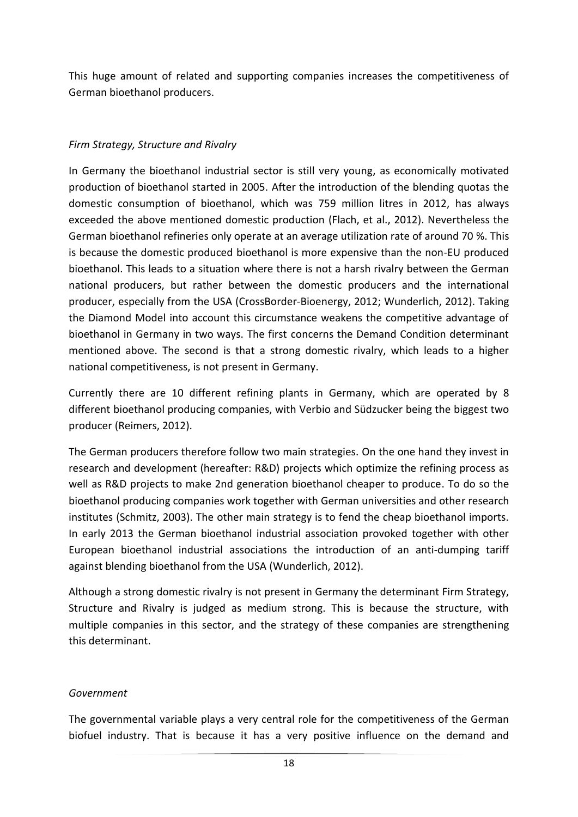This huge amount of related and supporting companies increases the competitiveness of German bioethanol producers.

#### *Firm Strategy, Structure and Rivalry*

In Germany the bioethanol industrial sector is still very young, as economically motivated production of bioethanol started in 2005. After the introduction of the blending quotas the domestic consumption of bioethanol, which was 759 million litres in 2012, has always exceeded the above mentioned domestic production [\(Flach, et al., 2012\)](#page-39-0). Nevertheless the German bioethanol refineries only operate at an average utilization rate of around 70 %. This is because the domestic produced bioethanol is more expensive than the non-EU produced bioethanol. This leads to a situation where there is not a harsh rivalry between the German national producers, but rather between the domestic producers and the international producer, especially from the USA [\(CrossBorder-Bioenergy, 2012;](#page-39-3) [Wunderlich, 2012\)](#page-42-1). Taking the Diamond Model into account this circumstance weakens the competitive advantage of bioethanol in Germany in two ways. The first concerns the Demand Condition determinant mentioned above. The second is that a strong domestic rivalry, which leads to a higher national competitiveness, is not present in Germany.

Currently there are 10 different refining plants in Germany, which are operated by 8 different bioethanol producing companies, with Verbio and Südzucker being the biggest two producer [\(Reimers, 2012\)](#page-41-6).

The German producers therefore follow two main strategies. On the one hand they invest in research and development (hereafter: R&D) projects which optimize the refining process as well as R&D projects to make 2nd generation bioethanol cheaper to produce. To do so the bioethanol producing companies work together with German universities and other research institutes [\(Schmitz, 2003\)](#page-41-8). The other main strategy is to fend the cheap bioethanol imports. In early 2013 the German bioethanol industrial association provoked together with other European bioethanol industrial associations the introduction of an anti-dumping tariff against blending bioethanol from the USA [\(Wunderlich, 2012\)](#page-42-1).

Although a strong domestic rivalry is not present in Germany the determinant Firm Strategy, Structure and Rivalry is judged as medium strong. This is because the structure, with multiple companies in this sector, and the strategy of these companies are strengthening this determinant.

#### *Government*

The governmental variable plays a very central role for the competitiveness of the German biofuel industry. That is because it has a very positive influence on the demand and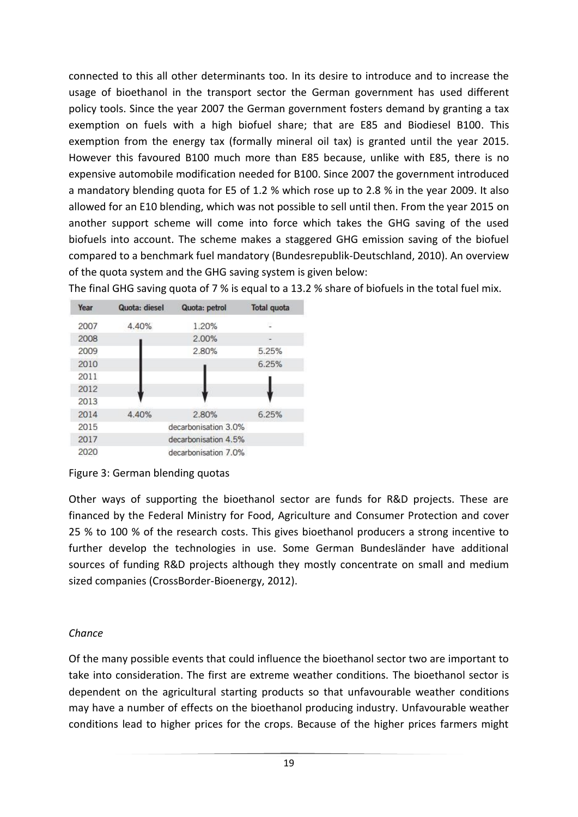connected to this all other determinants too. In its desire to introduce and to increase the usage of bioethanol in the transport sector the German government has used different policy tools. Since the year 2007 the German government fosters demand by granting a tax exemption on fuels with a high biofuel share; that are E85 and Biodiesel B100. This exemption from the energy tax (formally mineral oil tax) is granted until the year 2015. However this favoured B100 much more than E85 because, unlike with E85, there is no expensive automobile modification needed for B100. Since 2007 the government introduced a mandatory blending quota for E5 of 1.2 % which rose up to 2.8 % in the year 2009. It also allowed for an E10 blending, which was not possible to sell until then. From the year 2015 on another support scheme will come into force which takes the GHG saving of the used biofuels into account. The scheme makes a staggered GHG emission saving of the biofuel compared to a benchmark fuel mandatory [\(Bundesrepublik-Deutschland, 2010\)](#page-38-8). An overview of the quota system and the GHG saving system is given below:

| Year | Quota: diesel        | Quota: petrol | <b>Total quota</b> |  |  |
|------|----------------------|---------------|--------------------|--|--|
| 2007 | 4.40%                | 1.20%         | B.                 |  |  |
| 2008 |                      | 2.00%         |                    |  |  |
| 2009 |                      | 2.80%         | 5.25%              |  |  |
| 2010 |                      |               | 6.25%              |  |  |
| 2011 |                      |               |                    |  |  |
| 2012 |                      |               |                    |  |  |
| 2013 |                      |               |                    |  |  |
| 2014 | 4.40%                | 2.80%         | 6.25%              |  |  |
| 2015 | decarbonisation 3.0% |               |                    |  |  |
| 2017 | decarbonisation 4.5% |               |                    |  |  |
| 2020 | decarbonisation 7.0% |               |                    |  |  |

The final GHG saving quota of 7 % is equal to a 13.2 % share of biofuels in the total fuel mix.

#### Figure 3: German blending quotas

Other ways of supporting the bioethanol sector are funds for R&D projects. These are financed by the Federal Ministry for Food, Agriculture and Consumer Protection and cover 25 % to 100 % of the research costs. This gives bioethanol producers a strong incentive to further develop the technologies in use. Some German Bundesländer have additional sources of funding R&D projects although they mostly concentrate on small and medium sized companies [\(CrossBorder-Bioenergy, 2012\)](#page-39-3).

#### *Chance*

Of the many possible events that could influence the bioethanol sector two are important to take into consideration. The first are extreme weather conditions. The bioethanol sector is dependent on the agricultural starting products so that unfavourable weather conditions may have a number of effects on the bioethanol producing industry. Unfavourable weather conditions lead to higher prices for the crops. Because of the higher prices farmers might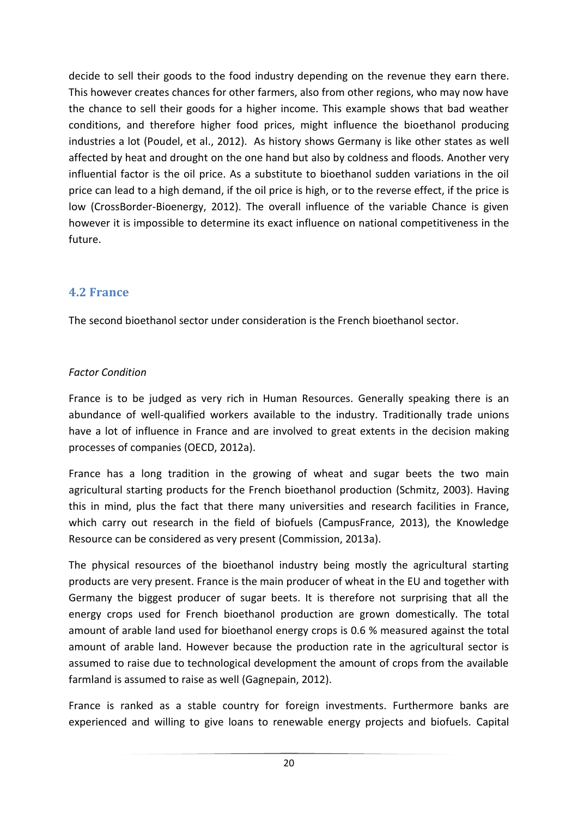decide to sell their goods to the food industry depending on the revenue they earn there. This however creates chances for other farmers, also from other regions, who may now have the chance to sell their goods for a higher income. This example shows that bad weather conditions, and therefore higher food prices, might influence the bioethanol producing industries a lot [\(Poudel, et al., 2012\)](#page-41-9). As history shows Germany is like other states as well affected by heat and drought on the one hand but also by coldness and floods. Another very influential factor is the oil price. As a substitute to bioethanol sudden variations in the oil price can lead to a high demand, if the oil price is high, or to the reverse effect, if the price is low [\(CrossBorder-Bioenergy, 2012\)](#page-39-3). The overall influence of the variable Chance is given however it is impossible to determine its exact influence on national competitiveness in the future.

## <span id="page-20-0"></span>**4.2 France**

The second bioethanol sector under consideration is the French bioethanol sector.

#### *Factor Condition*

France is to be judged as very rich in Human Resources. Generally speaking there is an abundance of well-qualified workers available to the industry. Traditionally trade unions have a lot of influence in France and are involved to great extents in the decision making processes of companies [\(OECD, 2012a\)](#page-40-5).

France has a long tradition in the growing of wheat and sugar beets the two main agricultural starting products for the French bioethanol production [\(Schmitz, 2003\)](#page-41-8). Having this in mind, plus the fact that there many universities and research facilities in France, which carry out research in the field of biofuels [\(CampusFrance, 2013\)](#page-38-9), the Knowledge Resource can be considered as very present [\(Commission, 2013a\)](#page-39-6).

The physical resources of the bioethanol industry being mostly the agricultural starting products are very present. France is the main producer of wheat in the EU and together with Germany the biggest producer of sugar beets. It is therefore not surprising that all the energy crops used for French bioethanol production are grown domestically. The total amount of arable land used for bioethanol energy crops is 0.6 % measured against the total amount of arable land. However because the production rate in the agricultural sector is assumed to raise due to technological development the amount of crops from the available farmland is assumed to raise as well [\(Gagnepain, 2012\)](#page-39-7).

France is ranked as a stable country for foreign investments. Furthermore banks are experienced and willing to give loans to renewable energy projects and biofuels. Capital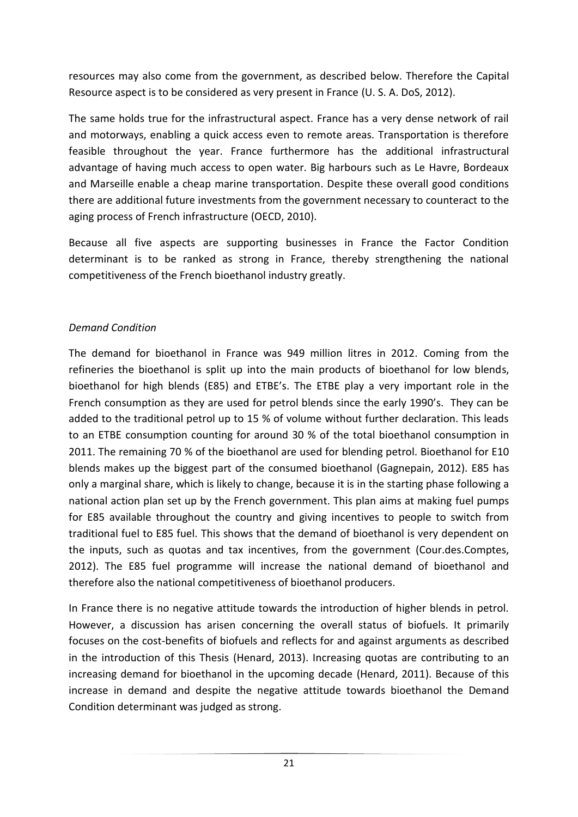resources may also come from the government, as described below. Therefore the Capital Resource aspect is to be considered as very present in France [\(U. S. A. DoS, 2012\)](#page-39-8).

The same holds true for the infrastructural aspect. France has a very dense network of rail and motorways, enabling a quick access even to remote areas. Transportation is therefore feasible throughout the year. France furthermore has the additional infrastructural advantage of having much access to open water. Big harbours such as Le Havre, Bordeaux and Marseille enable a cheap marine transportation. Despite these overall good conditions there are additional future investments from the government necessary to counteract to the aging process of French infrastructure [\(OECD, 2010\)](#page-40-6).

Because all five aspects are supporting businesses in France the Factor Condition determinant is to be ranked as strong in France, thereby strengthening the national competitiveness of the French bioethanol industry greatly.

#### *Demand Condition*

The demand for bioethanol in France was 949 million litres in 2012. Coming from the refineries the bioethanol is split up into the main products of bioethanol for low blends, bioethanol for high blends (E85) and ETBE's. The ETBE play a very important role in the French consumption as they are used for petrol blends since the early 1990's. They can be added to the traditional petrol up to 15 % of volume without further declaration. This leads to an ETBE consumption counting for around 30 % of the total bioethanol consumption in 2011. The remaining 70 % of the bioethanol are used for blending petrol. Bioethanol for E10 blends makes up the biggest part of the consumed bioethanol [\(Gagnepain, 2012\)](#page-39-7). E85 has only a marginal share, which is likely to change, because it is in the starting phase following a national action plan set up by the French government. This plan aims at making fuel pumps for E85 available throughout the country and giving incentives to people to switch from traditional fuel to E85 fuel. This shows that the demand of bioethanol is very dependent on the inputs, such as quotas and tax incentives, from the government [\(Cour.des.Comptes,](#page-39-9)  [2012\)](#page-39-9). The E85 fuel programme will increase the national demand of bioethanol and therefore also the national competitiveness of bioethanol producers.

In France there is no negative attitude towards the introduction of higher blends in petrol. However, a discussion has arisen concerning the overall status of biofuels. It primarily focuses on the cost-benefits of biofuels and reflects for and against arguments as described in the introduction of this Thesis [\(Henard, 2013\)](#page-40-7). Increasing quotas are contributing to an increasing demand for bioethanol in the upcoming decade [\(Henard, 2011\)](#page-40-8). Because of this increase in demand and despite the negative attitude towards bioethanol the Demand Condition determinant was judged as strong.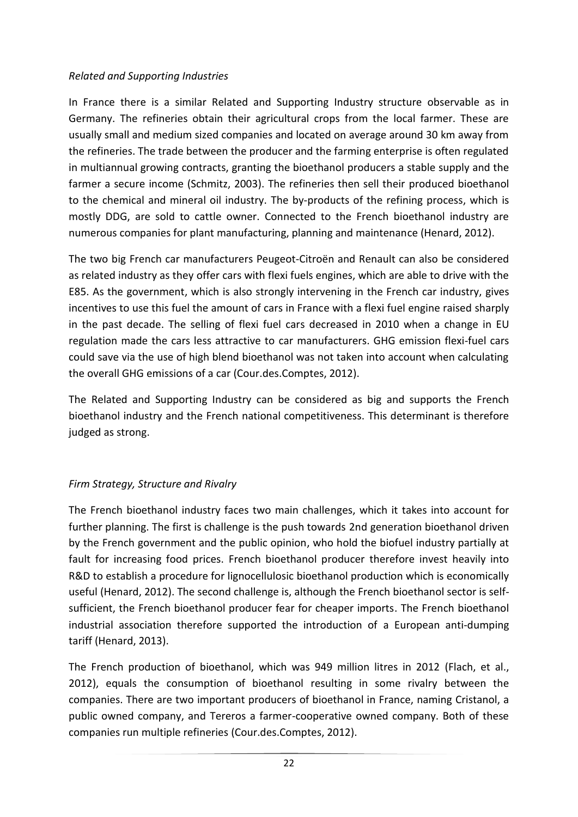#### *Related and Supporting Industries*

In France there is a similar Related and Supporting Industry structure observable as in Germany. The refineries obtain their agricultural crops from the local farmer. These are usually small and medium sized companies and located on average around 30 km away from the refineries. The trade between the producer and the farming enterprise is often regulated in multiannual growing contracts, granting the bioethanol producers a stable supply and the farmer a secure income [\(Schmitz, 2003\)](#page-41-8). The refineries then sell their produced bioethanol to the chemical and mineral oil industry. The by-products of the refining process, which is mostly DDG, are sold to cattle owner. Connected to the French bioethanol industry are numerous companies for plant manufacturing, planning and maintenance [\(Henard, 2012\)](#page-40-9).

The two big French car manufacturers Peugeot-Citroën and Renault can also be considered as related industry as they offer cars with flexi fuels engines, which are able to drive with the E85. As the government, which is also strongly intervening in the French car industry, gives incentives to use this fuel the amount of cars in France with a flexi fuel engine raised sharply in the past decade. The selling of flexi fuel cars decreased in 2010 when a change in EU regulation made the cars less attractive to car manufacturers. GHG emission flexi-fuel cars could save via the use of high blend bioethanol was not taken into account when calculating the overall GHG emissions of a car [\(Cour.des.Comptes, 2012\)](#page-39-9).

The Related and Supporting Industry can be considered as big and supports the French bioethanol industry and the French national competitiveness. This determinant is therefore judged as strong.

#### *Firm Strategy, Structure and Rivalry*

The French bioethanol industry faces two main challenges, which it takes into account for further planning. The first is challenge is the push towards 2nd generation bioethanol driven by the French government and the public opinion, who hold the biofuel industry partially at fault for increasing food prices. French bioethanol producer therefore invest heavily into R&D to establish a procedure for lignocellulosic bioethanol production which is economically useful [\(Henard, 2012\)](#page-40-9). The second challenge is, although the French bioethanol sector is selfsufficient, the French bioethanol producer fear for cheaper imports. The French bioethanol industrial association therefore supported the introduction of a European anti-dumping tariff [\(Henard, 2013\)](#page-40-7).

The French production of bioethanol, which was 949 million litres in 2012 [\(Flach, et al.,](#page-39-0)  [2012\)](#page-39-0), equals the consumption of bioethanol resulting in some rivalry between the companies. There are two important producers of bioethanol in France, naming Cristanol, a public owned company, and Tereros a farmer-cooperative owned company. Both of these companies run multiple refineries [\(Cour.des.Comptes, 2012\)](#page-39-9).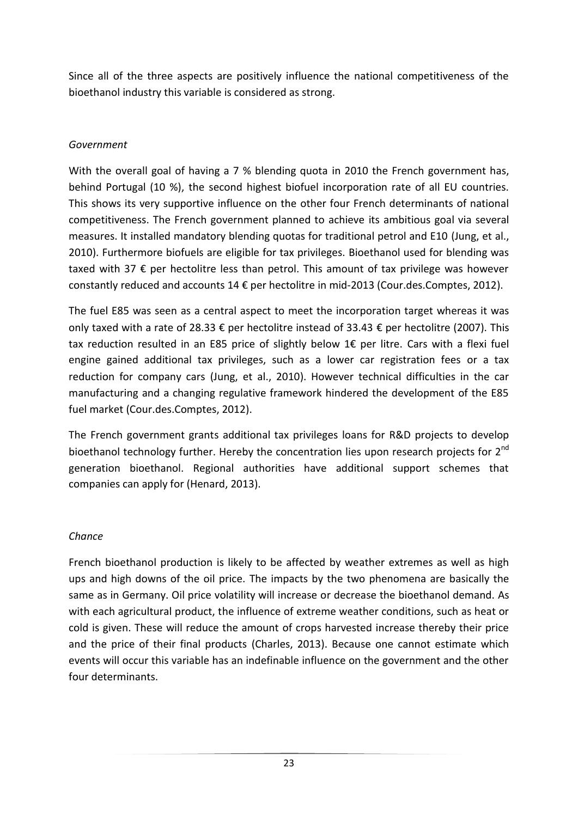Since all of the three aspects are positively influence the national competitiveness of the bioethanol industry this variable is considered as strong.

#### *Government*

With the overall goal of having a 7 % blending quota in 2010 the French government has, behind Portugal (10 %), the second highest biofuel incorporation rate of all EU countries. This shows its very supportive influence on the other four French determinants of national competitiveness. The French government planned to achieve its ambitious goal via several measures. It installed mandatory blending quotas for traditional petrol and E10 [\(Jung, et al.,](#page-40-10)  [2010\)](#page-40-10). Furthermore biofuels are eligible for tax privileges. Bioethanol used for blending was taxed with 37  $\epsilon$  per hectolitre less than petrol. This amount of tax privilege was however constantly reduced and accounts 14 € per hectolitre in mid-2013 [\(Cour.des.Comptes, 2012\)](#page-39-9).

The fuel E85 was seen as a central aspect to meet the incorporation target whereas it was only taxed with a rate of 28.33  $\epsilon$  per hectolitre instead of 33.43  $\epsilon$  per hectolitre (2007). This tax reduction resulted in an E85 price of slightly below 1€ per litre. Cars with a flexi fuel engine gained additional tax privileges, such as a lower car registration fees or a tax reduction for company cars [\(Jung, et al., 2010\)](#page-40-10). However technical difficulties in the car manufacturing and a changing regulative framework hindered the development of the E85 fuel market [\(Cour.des.Comptes, 2012\)](#page-39-9).

The French government grants additional tax privileges loans for R&D projects to develop bioethanol technology further. Hereby the concentration lies upon research projects for  $2^{nd}$ generation bioethanol. Regional authorities have additional support schemes that companies can apply for [\(Henard, 2013\)](#page-40-7).

#### *Chance*

French bioethanol production is likely to be affected by weather extremes as well as high ups and high downs of the oil price. The impacts by the two phenomena are basically the same as in Germany. Oil price volatility will increase or decrease the bioethanol demand. As with each agricultural product, the influence of extreme weather conditions, such as heat or cold is given. These will reduce the amount of crops harvested increase thereby their price and the price of their final products [\(Charles, 2013\)](#page-38-10). Because one cannot estimate which events will occur this variable has an indefinable influence on the government and the other four determinants.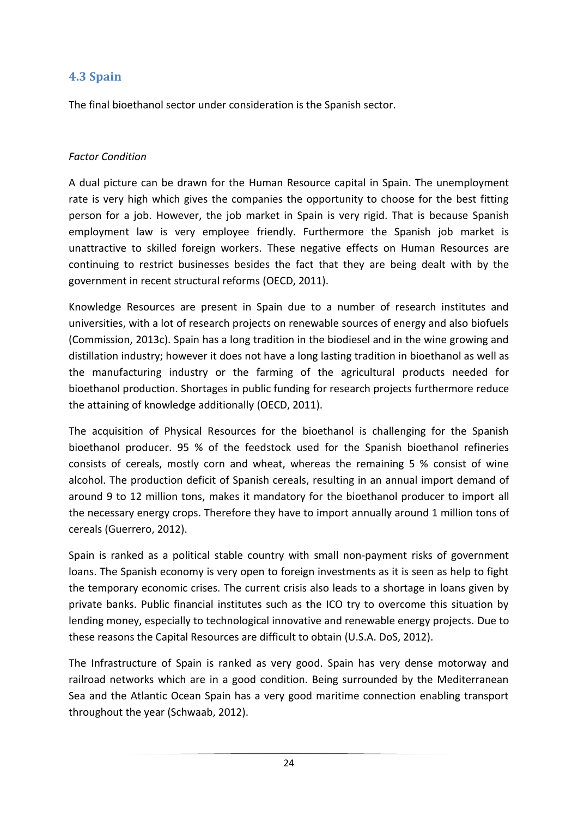## <span id="page-24-0"></span>**4.3 Spain**

The final bioethanol sector under consideration is the Spanish sector.

#### *Factor Condition*

A dual picture can be drawn for the Human Resource capital in Spain. The unemployment rate is very high which gives the companies the opportunity to choose for the best fitting person for a job. However, the job market in Spain is very rigid. That is because Spanish employment law is very employee friendly. Furthermore the Spanish job market is unattractive to skilled foreign workers. These negative effects on Human Resources are continuing to restrict businesses besides the fact that they are being dealt with by the government in recent structural reforms [\(OECD, 2011\)](#page-40-11).

Knowledge Resources are present in Spain due to a number of research institutes and universities, with a lot of research projects on renewable sources of energy and also biofuels [\(Commission, 2013c\)](#page-39-10). Spain has a long tradition in the biodiesel and in the wine growing and distillation industry; however it does not have a long lasting tradition in bioethanol as well as the manufacturing industry or the farming of the agricultural products needed for bioethanol production. Shortages in public funding for research projects furthermore reduce the attaining of knowledge additionally [\(OECD, 2011\)](#page-40-11).

The acquisition of Physical Resources for the bioethanol is challenging for the Spanish bioethanol producer. 95 % of the feedstock used for the Spanish bioethanol refineries consists of cereals, mostly corn and wheat, whereas the remaining 5 % consist of wine alcohol. The production deficit of Spanish cereals, resulting in an annual import demand of around 9 to 12 million tons, makes it mandatory for the bioethanol producer to import all the necessary energy crops. Therefore they have to import annually around 1 million tons of cereals [\(Guerrero, 2012\)](#page-40-12).

Spain is ranked as a political stable country with small non-payment risks of government loans. The Spanish economy is very open to foreign investments as it is seen as help to fight the temporary economic crises. The current crisis also leads to a shortage in loans given by private banks. Public financial institutes such as the ICO try to overcome this situation by lending money, especially to technological innovative and renewable energy projects. Due to these reasons the Capital Resources are difficult to obtain [\(U.S.A. DoS, 2012\)](#page-39-11).

The Infrastructure of Spain is ranked as very good. Spain has very dense motorway and railroad networks which are in a good condition. Being surrounded by the Mediterranean Sea and the Atlantic Ocean Spain has a very good maritime connection enabling transport throughout the year [\(Schwaab, 2012\)](#page-41-10).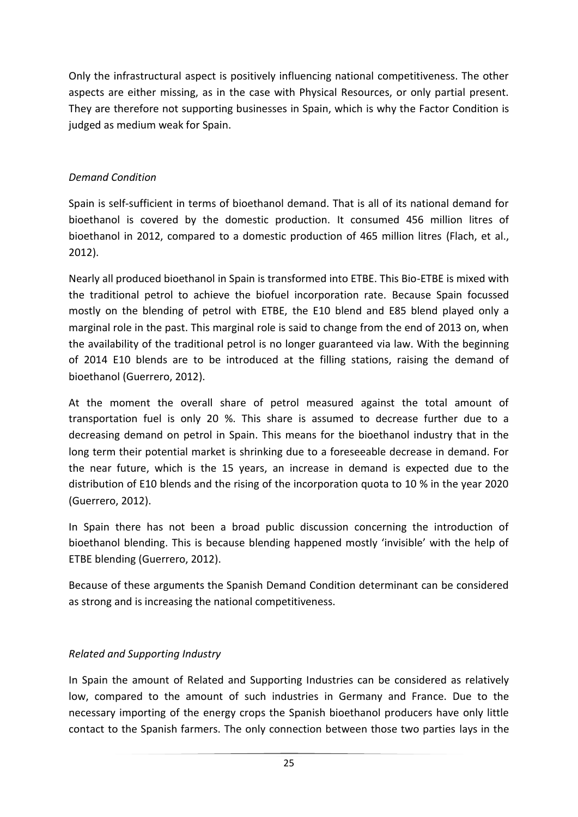Only the infrastructural aspect is positively influencing national competitiveness. The other aspects are either missing, as in the case with Physical Resources, or only partial present. They are therefore not supporting businesses in Spain, which is why the Factor Condition is judged as medium weak for Spain.

#### *Demand Condition*

Spain is self-sufficient in terms of bioethanol demand. That is all of its national demand for bioethanol is covered by the domestic production. It consumed 456 million litres of bioethanol in 2012, compared to a domestic production of 465 million litres [\(Flach, et al.,](#page-39-0)  [2012\)](#page-39-0).

Nearly all produced bioethanol in Spain is transformed into ETBE. This Bio-ETBE is mixed with the traditional petrol to achieve the biofuel incorporation rate. Because Spain focussed mostly on the blending of petrol with ETBE, the E10 blend and E85 blend played only a marginal role in the past. This marginal role is said to change from the end of 2013 on, when the availability of the traditional petrol is no longer guaranteed via law. With the beginning of 2014 E10 blends are to be introduced at the filling stations, raising the demand of bioethanol [\(Guerrero, 2012\)](#page-40-12).

At the moment the overall share of petrol measured against the total amount of transportation fuel is only 20 %. This share is assumed to decrease further due to a decreasing demand on petrol in Spain. This means for the bioethanol industry that in the long term their potential market is shrinking due to a foreseeable decrease in demand. For the near future, which is the 15 years, an increase in demand is expected due to the distribution of E10 blends and the rising of the incorporation quota to 10 % in the year 2020 [\(Guerrero, 2012\)](#page-40-12).

In Spain there has not been a broad public discussion concerning the introduction of bioethanol blending. This is because blending happened mostly 'invisible' with the help of ETBE blending [\(Guerrero, 2012\)](#page-40-12).

Because of these arguments the Spanish Demand Condition determinant can be considered as strong and is increasing the national competitiveness.

#### *Related and Supporting Industry*

In Spain the amount of Related and Supporting Industries can be considered as relatively low, compared to the amount of such industries in Germany and France. Due to the necessary importing of the energy crops the Spanish bioethanol producers have only little contact to the Spanish farmers. The only connection between those two parties lays in the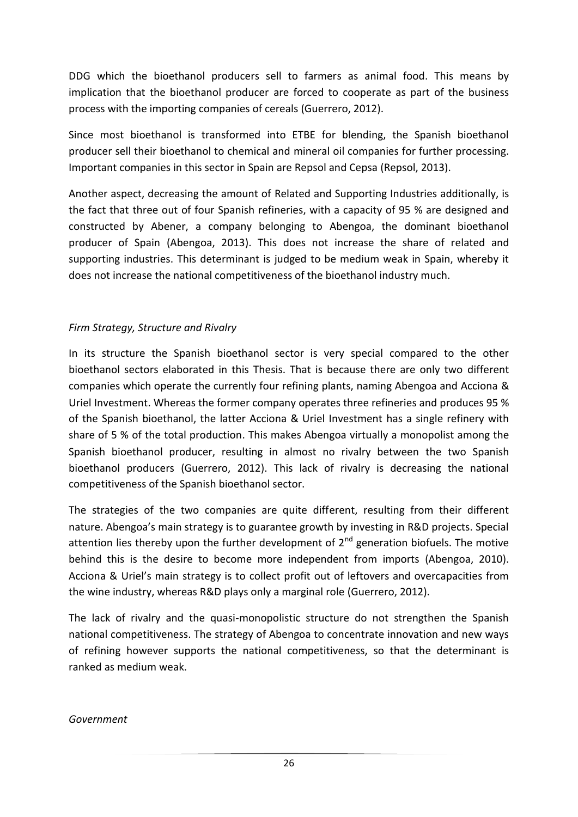DDG which the bioethanol producers sell to farmers as animal food. This means by implication that the bioethanol producer are forced to cooperate as part of the business process with the importing companies of cereals [\(Guerrero, 2012\)](#page-40-12).

Since most bioethanol is transformed into ETBE for blending, the Spanish bioethanol producer sell their bioethanol to chemical and mineral oil companies for further processing. Important companies in this sector in Spain are Repsol and Cepsa [\(Repsol, 2013\)](#page-41-11).

Another aspect, decreasing the amount of Related and Supporting Industries additionally, is the fact that three out of four Spanish refineries, with a capacity of 95 % are designed and constructed by Abener, a company belonging to Abengoa, the dominant bioethanol producer of Spain [\(Abengoa, 2013\)](#page-38-11). This does not increase the share of related and supporting industries. This determinant is judged to be medium weak in Spain, whereby it does not increase the national competitiveness of the bioethanol industry much.

#### *Firm Strategy, Structure and Rivalry*

In its structure the Spanish bioethanol sector is very special compared to the other bioethanol sectors elaborated in this Thesis. That is because there are only two different companies which operate the currently four refining plants, naming Abengoa and Acciona & Uriel Investment. Whereas the former company operates three refineries and produces 95 % of the Spanish bioethanol, the latter Acciona & Uriel Investment has a single refinery with share of 5 % of the total production. This makes Abengoa virtually a monopolist among the Spanish bioethanol producer, resulting in almost no rivalry between the two Spanish bioethanol producers [\(Guerrero, 2012\)](#page-40-12). This lack of rivalry is decreasing the national competitiveness of the Spanish bioethanol sector.

The strategies of the two companies are quite different, resulting from their different nature. Abengoa's main strategy is to guarantee growth by investing in R&D projects. Special attention lies thereby upon the further development of  $2^{nd}$  generation biofuels. The motive behind this is the desire to become more independent from imports [\(Abengoa, 2010\)](#page-38-12). Acciona & Uriel's main strategy is to collect profit out of leftovers and overcapacities from the wine industry, whereas R&D plays only a marginal role [\(Guerrero, 2012\)](#page-40-12).

The lack of rivalry and the quasi-monopolistic structure do not strengthen the Spanish national competitiveness. The strategy of Abengoa to concentrate innovation and new ways of refining however supports the national competitiveness, so that the determinant is ranked as medium weak.

#### *Government*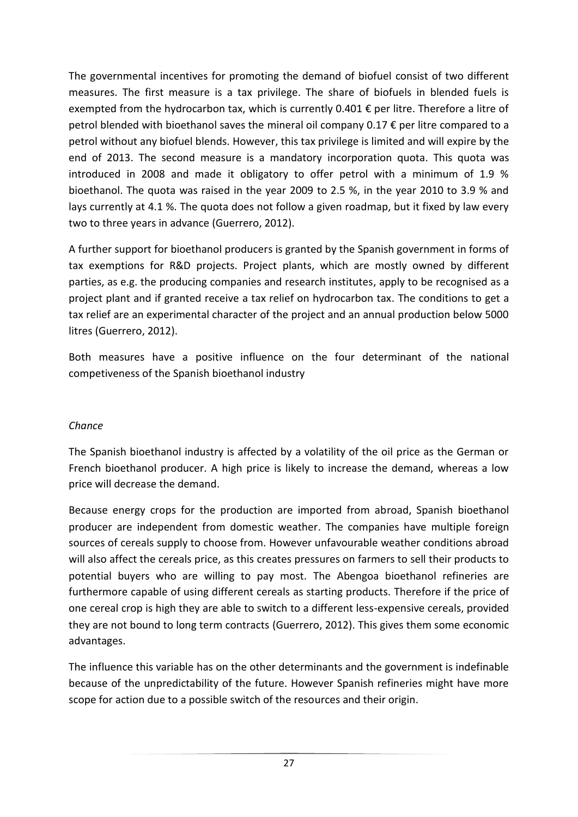The governmental incentives for promoting the demand of biofuel consist of two different measures. The first measure is a tax privilege. The share of biofuels in blended fuels is exempted from the hydrocarbon tax, which is currently 0.401  $\epsilon$  per litre. Therefore a litre of petrol blended with bioethanol saves the mineral oil company  $0.17 \epsilon$  per litre compared to a petrol without any biofuel blends. However, this tax privilege is limited and will expire by the end of 2013. The second measure is a mandatory incorporation quota. This quota was introduced in 2008 and made it obligatory to offer petrol with a minimum of 1.9 % bioethanol. The quota was raised in the year 2009 to 2.5 %, in the year 2010 to 3.9 % and lays currently at 4.1 %. The quota does not follow a given roadmap, but it fixed by law every two to three years in advance [\(Guerrero, 2012\)](#page-40-12).

A further support for bioethanol producers is granted by the Spanish government in forms of tax exemptions for R&D projects. Project plants, which are mostly owned by different parties, as e.g. the producing companies and research institutes, apply to be recognised as a project plant and if granted receive a tax relief on hydrocarbon tax. The conditions to get a tax relief are an experimental character of the project and an annual production below 5000 litres [\(Guerrero, 2012\)](#page-40-12).

Both measures have a positive influence on the four determinant of the national competiveness of the Spanish bioethanol industry

#### *Chance*

The Spanish bioethanol industry is affected by a volatility of the oil price as the German or French bioethanol producer. A high price is likely to increase the demand, whereas a low price will decrease the demand.

Because energy crops for the production are imported from abroad, Spanish bioethanol producer are independent from domestic weather. The companies have multiple foreign sources of cereals supply to choose from. However unfavourable weather conditions abroad will also affect the cereals price, as this creates pressures on farmers to sell their products to potential buyers who are willing to pay most. The Abengoa bioethanol refineries are furthermore capable of using different cereals as starting products. Therefore if the price of one cereal crop is high they are able to switch to a different less-expensive cereals, provided they are not bound to long term contracts [\(Guerrero, 2012\)](#page-40-12). This gives them some economic advantages.

The influence this variable has on the other determinants and the government is indefinable because of the unpredictability of the future. However Spanish refineries might have more scope for action due to a possible switch of the resources and their origin.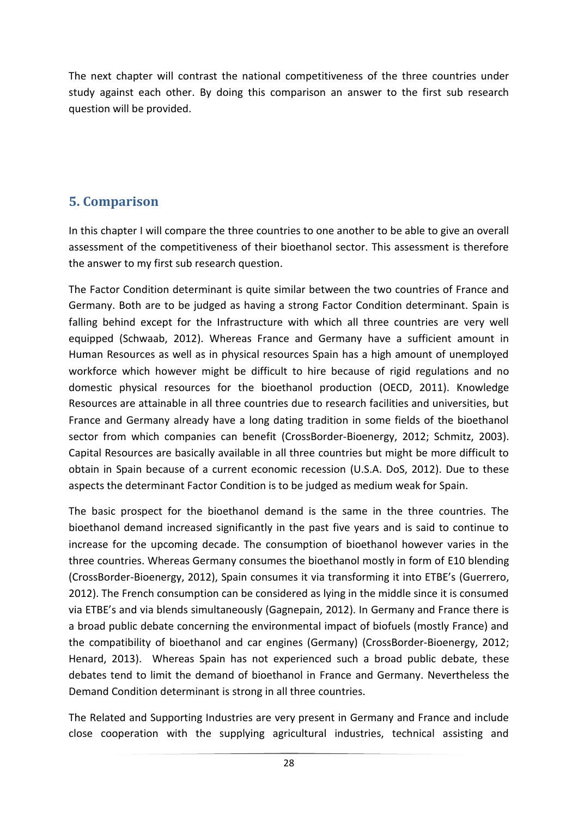The next chapter will contrast the national competitiveness of the three countries under study against each other. By doing this comparison an answer to the first sub research question will be provided.

## <span id="page-28-0"></span>**5. Comparison**

In this chapter I will compare the three countries to one another to be able to give an overall assessment of the competitiveness of their bioethanol sector. This assessment is therefore the answer to my first sub research question.

The Factor Condition determinant is quite similar between the two countries of France and Germany. Both are to be judged as having a strong Factor Condition determinant. Spain is falling behind except for the Infrastructure with which all three countries are very well equipped [\(Schwaab, 2012\)](#page-41-10). Whereas France and Germany have a sufficient amount in Human Resources as well as in physical resources Spain has a high amount of unemployed workforce which however might be difficult to hire because of rigid regulations and no domestic physical resources for the bioethanol production [\(OECD, 2011\)](#page-40-11). Knowledge Resources are attainable in all three countries due to research facilities and universities, but France and Germany already have a long dating tradition in some fields of the bioethanol sector from which companies can benefit [\(CrossBorder-Bioenergy, 2012;](#page-39-3) [Schmitz, 2003\)](#page-41-8). Capital Resources are basically available in all three countries but might be more difficult to obtain in Spain because of a current economic recession [\(U.S.A. DoS, 2012\)](#page-39-11). Due to these aspects the determinant Factor Condition is to be judged as medium weak for Spain.

The basic prospect for the bioethanol demand is the same in the three countries. The bioethanol demand increased significantly in the past five years and is said to continue to increase for the upcoming decade. The consumption of bioethanol however varies in the three countries. Whereas Germany consumes the bioethanol mostly in form of E10 blending [\(CrossBorder-Bioenergy, 2012\)](#page-39-3), Spain consumes it via transforming it into ETBE's [\(Guerrero,](#page-40-12)  [2012\)](#page-40-12). The French consumption can be considered as lying in the middle since it is consumed via ETBE's and via blends simultaneously [\(Gagnepain, 2012\)](#page-39-7). In Germany and France there is a broad public debate concerning the environmental impact of biofuels (mostly France) and the compatibility of bioethanol and car engines (Germany) [\(CrossBorder-Bioenergy, 2012;](#page-39-3) [Henard, 2013\)](#page-40-7). Whereas Spain has not experienced such a broad public debate, these debates tend to limit the demand of bioethanol in France and Germany. Nevertheless the Demand Condition determinant is strong in all three countries.

The Related and Supporting Industries are very present in Germany and France and include close cooperation with the supplying agricultural industries, technical assisting and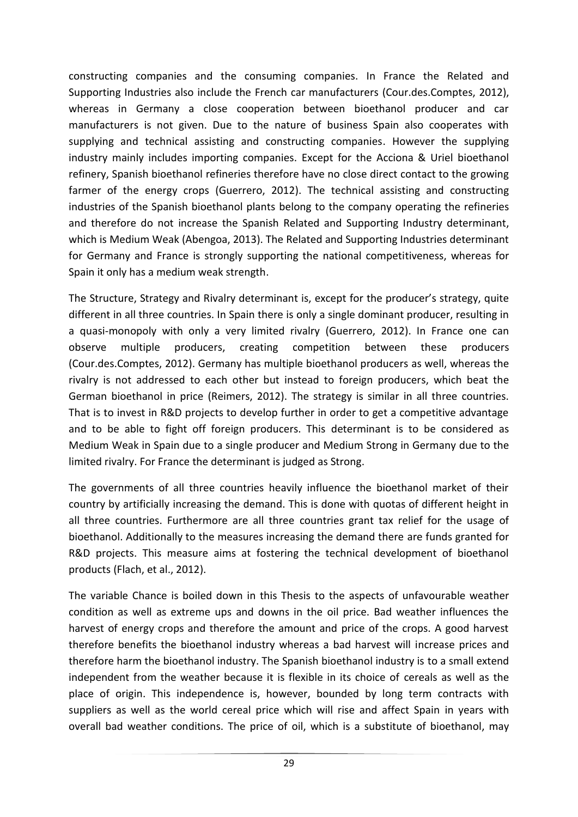constructing companies and the consuming companies. In France the Related and Supporting Industries also include the French car manufacturers [\(Cour.des.Comptes, 2012\)](#page-39-9), whereas in Germany a close cooperation between bioethanol producer and car manufacturers is not given. Due to the nature of business Spain also cooperates with supplying and technical assisting and constructing companies. However the supplying industry mainly includes importing companies. Except for the Acciona & Uriel bioethanol refinery, Spanish bioethanol refineries therefore have no close direct contact to the growing farmer of the energy crops [\(Guerrero, 2012\)](#page-40-12). The technical assisting and constructing industries of the Spanish bioethanol plants belong to the company operating the refineries and therefore do not increase the Spanish Related and Supporting Industry determinant, which is Medium Weak [\(Abengoa, 2013\)](#page-38-11). The Related and Supporting Industries determinant for Germany and France is strongly supporting the national competitiveness, whereas for Spain it only has a medium weak strength.

The Structure, Strategy and Rivalry determinant is, except for the producer's strategy, quite different in all three countries. In Spain there is only a single dominant producer, resulting in a quasi-monopoly with only a very limited rivalry [\(Guerrero, 2012\)](#page-40-12). In France one can observe multiple producers, creating competition between these producers [\(Cour.des.Comptes, 2012\)](#page-39-9). Germany has multiple bioethanol producers as well, whereas the rivalry is not addressed to each other but instead to foreign producers, which beat the German bioethanol in price [\(Reimers, 2012\)](#page-41-6). The strategy is similar in all three countries. That is to invest in R&D projects to develop further in order to get a competitive advantage and to be able to fight off foreign producers. This determinant is to be considered as Medium Weak in Spain due to a single producer and Medium Strong in Germany due to the limited rivalry. For France the determinant is judged as Strong.

The governments of all three countries heavily influence the bioethanol market of their country by artificially increasing the demand. This is done with quotas of different height in all three countries. Furthermore are all three countries grant tax relief for the usage of bioethanol. Additionally to the measures increasing the demand there are funds granted for R&D projects. This measure aims at fostering the technical development of bioethanol products [\(Flach, et al., 2012\)](#page-39-0).

The variable Chance is boiled down in this Thesis to the aspects of unfavourable weather condition as well as extreme ups and downs in the oil price. Bad weather influences the harvest of energy crops and therefore the amount and price of the crops. A good harvest therefore benefits the bioethanol industry whereas a bad harvest will increase prices and therefore harm the bioethanol industry. The Spanish bioethanol industry is to a small extend independent from the weather because it is flexible in its choice of cereals as well as the place of origin. This independence is, however, bounded by long term contracts with suppliers as well as the world cereal price which will rise and affect Spain in years with overall bad weather conditions. The price of oil, which is a substitute of bioethanol, may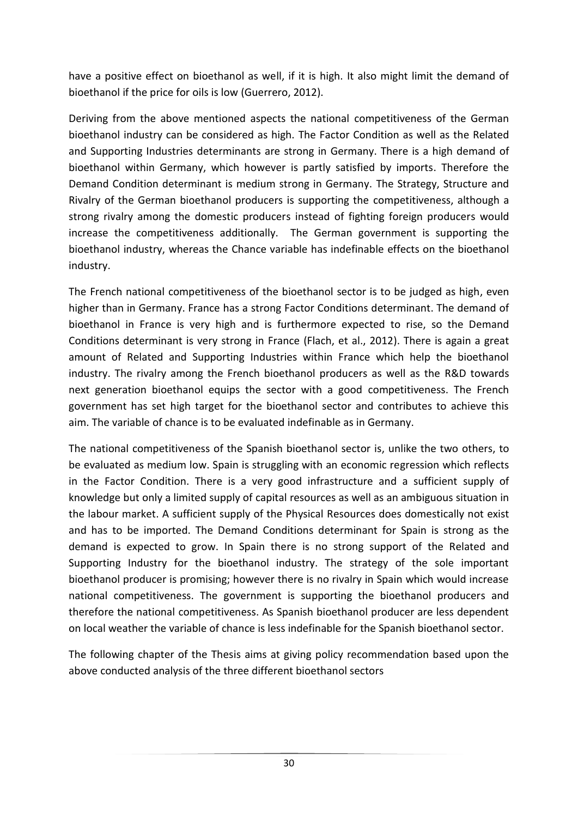have a positive effect on bioethanol as well, if it is high. It also might limit the demand of bioethanol if the price for oils is low [\(Guerrero, 2012\)](#page-40-12).

Deriving from the above mentioned aspects the national competitiveness of the German bioethanol industry can be considered as high. The Factor Condition as well as the Related and Supporting Industries determinants are strong in Germany. There is a high demand of bioethanol within Germany, which however is partly satisfied by imports. Therefore the Demand Condition determinant is medium strong in Germany. The Strategy, Structure and Rivalry of the German bioethanol producers is supporting the competitiveness, although a strong rivalry among the domestic producers instead of fighting foreign producers would increase the competitiveness additionally. The German government is supporting the bioethanol industry, whereas the Chance variable has indefinable effects on the bioethanol industry.

The French national competitiveness of the bioethanol sector is to be judged as high, even higher than in Germany. France has a strong Factor Conditions determinant. The demand of bioethanol in France is very high and is furthermore expected to rise, so the Demand Conditions determinant is very strong in France [\(Flach, et al., 2012\)](#page-39-0). There is again a great amount of Related and Supporting Industries within France which help the bioethanol industry. The rivalry among the French bioethanol producers as well as the R&D towards next generation bioethanol equips the sector with a good competitiveness. The French government has set high target for the bioethanol sector and contributes to achieve this aim. The variable of chance is to be evaluated indefinable as in Germany.

The national competitiveness of the Spanish bioethanol sector is, unlike the two others, to be evaluated as medium low. Spain is struggling with an economic regression which reflects in the Factor Condition. There is a very good infrastructure and a sufficient supply of knowledge but only a limited supply of capital resources as well as an ambiguous situation in the labour market. A sufficient supply of the Physical Resources does domestically not exist and has to be imported. The Demand Conditions determinant for Spain is strong as the demand is expected to grow. In Spain there is no strong support of the Related and Supporting Industry for the bioethanol industry. The strategy of the sole important bioethanol producer is promising; however there is no rivalry in Spain which would increase national competitiveness. The government is supporting the bioethanol producers and therefore the national competitiveness. As Spanish bioethanol producer are less dependent on local weather the variable of chance is less indefinable for the Spanish bioethanol sector.

The following chapter of the Thesis aims at giving policy recommendation based upon the above conducted analysis of the three different bioethanol sectors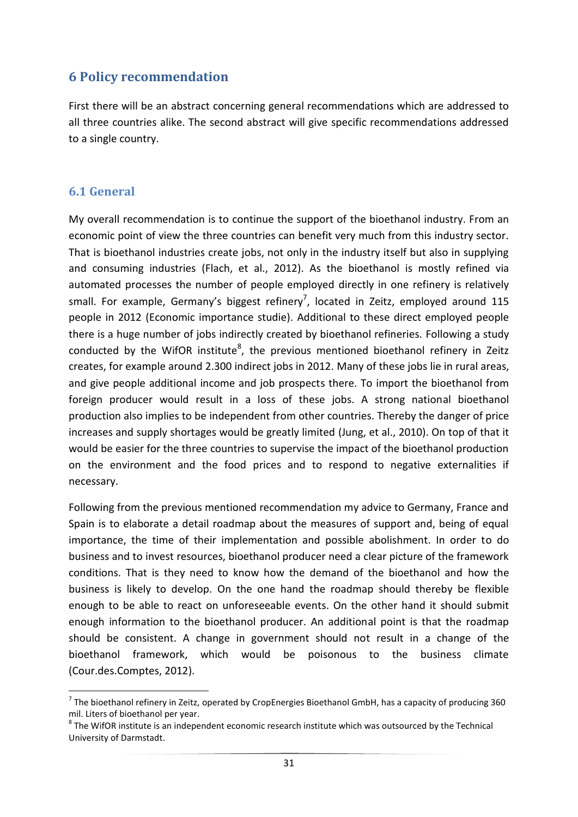## <span id="page-31-0"></span>**6 Policy recommendation**

First there will be an abstract concerning general recommendations which are addressed to all three countries alike. The second abstract will give specific recommendations addressed to a single country.

#### <span id="page-31-1"></span>**6.1 General**

1

My overall recommendation is to continue the support of the bioethanol industry. From an economic point of view the three countries can benefit very much from this industry sector. That is bioethanol industries create jobs, not only in the industry itself but also in supplying and consuming industries [\(Flach, et al., 2012\)](#page-39-0). As the bioethanol is mostly refined via automated processes the number of people employed directly in one refinery is relatively small. For example, Germany's biggest refinery<sup>7</sup>, located in Zeitz, employed around 115 people in 2012 (Economic importance studie). Additional to these direct employed people there is a huge number of jobs indirectly created by bioethanol refineries. Following a study conducted by the WifOR institute<sup>8</sup>, the previous mentioned bioethanol refinery in Zeitz creates, for example around 2.300 indirect jobs in 2012. Many of these jobs lie in rural areas, and give people additional income and job prospects there. To import the bioethanol from foreign producer would result in a loss of these jobs. A strong national bioethanol production also implies to be independent from other countries. Thereby the danger of price increases and supply shortages would be greatly limited [\(Jung, et al., 2010\)](#page-40-10). On top of that it would be easier for the three countries to supervise the impact of the bioethanol production on the environment and the food prices and to respond to negative externalities if necessary.

Following from the previous mentioned recommendation my advice to Germany, France and Spain is to elaborate a detail roadmap about the measures of support and, being of equal importance, the time of their implementation and possible abolishment. In order to do business and to invest resources, bioethanol producer need a clear picture of the framework conditions. That is they need to know how the demand of the bioethanol and how the business is likely to develop. On the one hand the roadmap should thereby be flexible enough to be able to react on unforeseeable events. On the other hand it should submit enough information to the bioethanol producer. An additional point is that the roadmap should be consistent. A change in government should not result in a change of the bioethanol framework, which would be poisonous to the business climate [\(Cour.des.Comptes, 2012\)](#page-39-9).

 $^7$  The bioethanol refinery in Zeitz, operated by CropEnergies Bioethanol GmbH, has a capacity of producing 360 mil. Liters of bioethanol per year.

 $^8$  The WifOR institute is an independent economic research institute which was outsourced by the Technical University of Darmstadt.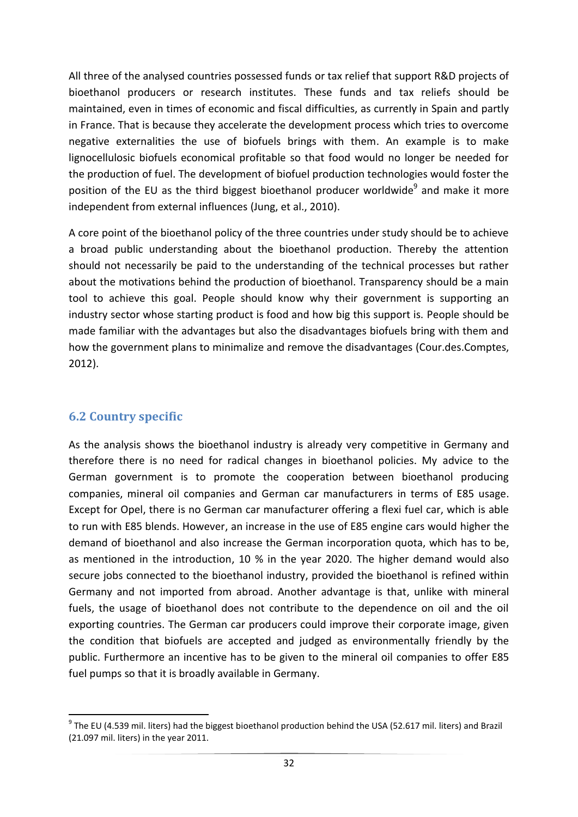All three of the analysed countries possessed funds or tax relief that support R&D projects of bioethanol producers or research institutes. These funds and tax reliefs should be maintained, even in times of economic and fiscal difficulties, as currently in Spain and partly in France. That is because they accelerate the development process which tries to overcome negative externalities the use of biofuels brings with them. An example is to make lignocellulosic biofuels economical profitable so that food would no longer be needed for the production of fuel. The development of biofuel production technologies would foster the position of the EU as the third biggest bioethanol producer worldwide<sup>9</sup> and make it more independent from external influences [\(Jung, et al., 2010\)](#page-40-10).

A core point of the bioethanol policy of the three countries under study should be to achieve a broad public understanding about the bioethanol production. Thereby the attention should not necessarily be paid to the understanding of the technical processes but rather about the motivations behind the production of bioethanol. Transparency should be a main tool to achieve this goal. People should know why their government is supporting an industry sector whose starting product is food and how big this support is. People should be made familiar with the advantages but also the disadvantages biofuels bring with them and how the government plans to minimalize and remove the disadvantages [\(Cour.des.Comptes,](#page-39-9)  [2012\)](#page-39-9).

#### <span id="page-32-0"></span>**6.2 Country specific**

 $\overline{a}$ 

As the analysis shows the bioethanol industry is already very competitive in Germany and therefore there is no need for radical changes in bioethanol policies. My advice to the German government is to promote the cooperation between bioethanol producing companies, mineral oil companies and German car manufacturers in terms of E85 usage. Except for Opel, there is no German car manufacturer offering a flexi fuel car, which is able to run with E85 blends. However, an increase in the use of E85 engine cars would higher the demand of bioethanol and also increase the German incorporation quota, which has to be, as mentioned in the introduction, 10 % in the year 2020. The higher demand would also secure jobs connected to the bioethanol industry, provided the bioethanol is refined within Germany and not imported from abroad. Another advantage is that, unlike with mineral fuels, the usage of bioethanol does not contribute to the dependence on oil and the oil exporting countries. The German car producers could improve their corporate image, given the condition that biofuels are accepted and judged as environmentally friendly by the public. Furthermore an incentive has to be given to the mineral oil companies to offer E85 fuel pumps so that it is broadly available in Germany.

 $^9$  The EU (4.539 mil. liters) had the biggest bioethanol production behind the USA (52.617 mil. liters) and Brazil (21.097 mil. liters) in the year 2011.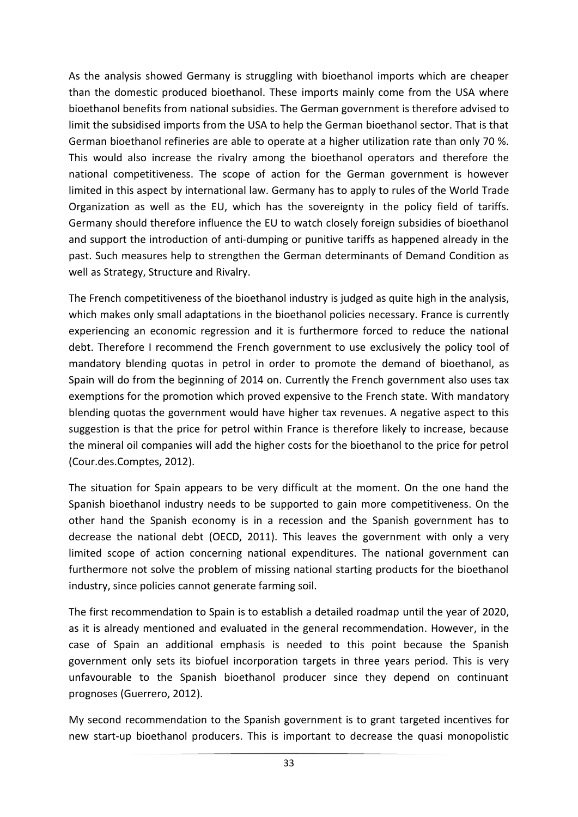As the analysis showed Germany is struggling with bioethanol imports which are cheaper than the domestic produced bioethanol. These imports mainly come from the USA where bioethanol benefits from national subsidies. The German government is therefore advised to limit the subsidised imports from the USA to help the German bioethanol sector. That is that German bioethanol refineries are able to operate at a higher utilization rate than only 70 %. This would also increase the rivalry among the bioethanol operators and therefore the national competitiveness. The scope of action for the German government is however limited in this aspect by international law. Germany has to apply to rules of the World Trade Organization as well as the EU, which has the sovereignty in the policy field of tariffs. Germany should therefore influence the EU to watch closely foreign subsidies of bioethanol and support the introduction of anti-dumping or punitive tariffs as happened already in the past. Such measures help to strengthen the German determinants of Demand Condition as well as Strategy, Structure and Rivalry.

The French competitiveness of the bioethanol industry is judged as quite high in the analysis, which makes only small adaptations in the bioethanol policies necessary. France is currently experiencing an economic regression and it is furthermore forced to reduce the national debt. Therefore I recommend the French government to use exclusively the policy tool of mandatory blending quotas in petrol in order to promote the demand of bioethanol, as Spain will do from the beginning of 2014 on. Currently the French government also uses tax exemptions for the promotion which proved expensive to the French state. With mandatory blending quotas the government would have higher tax revenues. A negative aspect to this suggestion is that the price for petrol within France is therefore likely to increase, because the mineral oil companies will add the higher costs for the bioethanol to the price for petrol [\(Cour.des.Comptes, 2012\)](#page-39-9).

The situation for Spain appears to be very difficult at the moment. On the one hand the Spanish bioethanol industry needs to be supported to gain more competitiveness. On the other hand the Spanish economy is in a recession and the Spanish government has to decrease the national debt [\(OECD, 2011\)](#page-40-11). This leaves the government with only a very limited scope of action concerning national expenditures. The national government can furthermore not solve the problem of missing national starting products for the bioethanol industry, since policies cannot generate farming soil.

The first recommendation to Spain is to establish a detailed roadmap until the year of 2020, as it is already mentioned and evaluated in the general recommendation. However, in the case of Spain an additional emphasis is needed to this point because the Spanish government only sets its biofuel incorporation targets in three years period. This is very unfavourable to the Spanish bioethanol producer since they depend on continuant prognoses [\(Guerrero, 2012\)](#page-40-12).

My second recommendation to the Spanish government is to grant targeted incentives for new start-up bioethanol producers. This is important to decrease the quasi monopolistic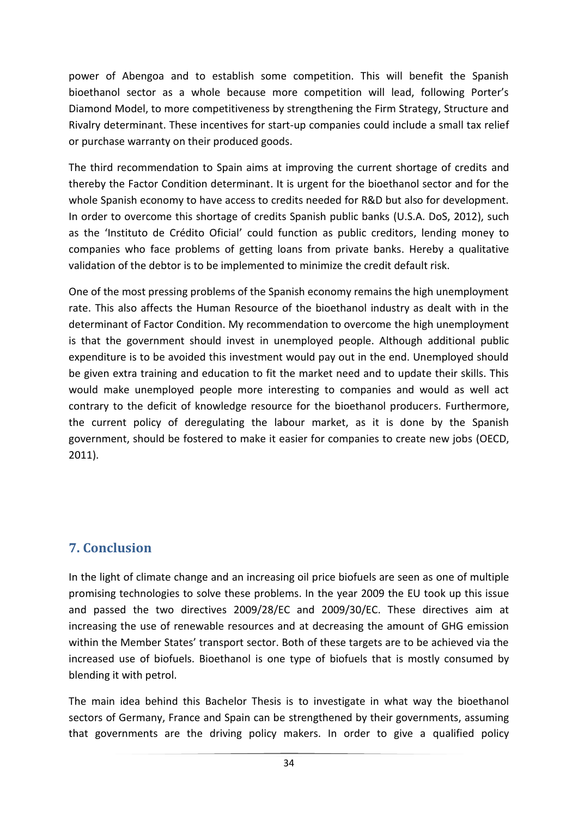power of Abengoa and to establish some competition. This will benefit the Spanish bioethanol sector as a whole because more competition will lead, following Porter's Diamond Model, to more competitiveness by strengthening the Firm Strategy, Structure and Rivalry determinant. These incentives for start-up companies could include a small tax relief or purchase warranty on their produced goods.

The third recommendation to Spain aims at improving the current shortage of credits and thereby the Factor Condition determinant. It is urgent for the bioethanol sector and for the whole Spanish economy to have access to credits needed for R&D but also for development. In order to overcome this shortage of credits Spanish public banks [\(U.S.A. DoS, 2012\)](#page-39-11), such as the 'Instituto de Crédito Oficial' could function as public creditors, lending money to companies who face problems of getting loans from private banks. Hereby a qualitative validation of the debtor is to be implemented to minimize the credit default risk.

One of the most pressing problems of the Spanish economy remains the high unemployment rate. This also affects the Human Resource of the bioethanol industry as dealt with in the determinant of Factor Condition. My recommendation to overcome the high unemployment is that the government should invest in unemployed people. Although additional public expenditure is to be avoided this investment would pay out in the end. Unemployed should be given extra training and education to fit the market need and to update their skills. This would make unemployed people more interesting to companies and would as well act contrary to the deficit of knowledge resource for the bioethanol producers. Furthermore, the current policy of deregulating the labour market, as it is done by the Spanish government, should be fostered to make it easier for companies to create new jobs [\(OECD,](#page-40-11)  [2011\)](#page-40-11).

## <span id="page-34-0"></span>**7. Conclusion**

In the light of climate change and an increasing oil price biofuels are seen as one of multiple promising technologies to solve these problems. In the year 2009 the EU took up this issue and passed the two directives 2009/28/EC and 2009/30/EC. These directives aim at increasing the use of renewable resources and at decreasing the amount of GHG emission within the Member States' transport sector. Both of these targets are to be achieved via the increased use of biofuels. Bioethanol is one type of biofuels that is mostly consumed by blending it with petrol.

The main idea behind this Bachelor Thesis is to investigate in what way the bioethanol sectors of Germany, France and Spain can be strengthened by their governments, assuming that governments are the driving policy makers. In order to give a qualified policy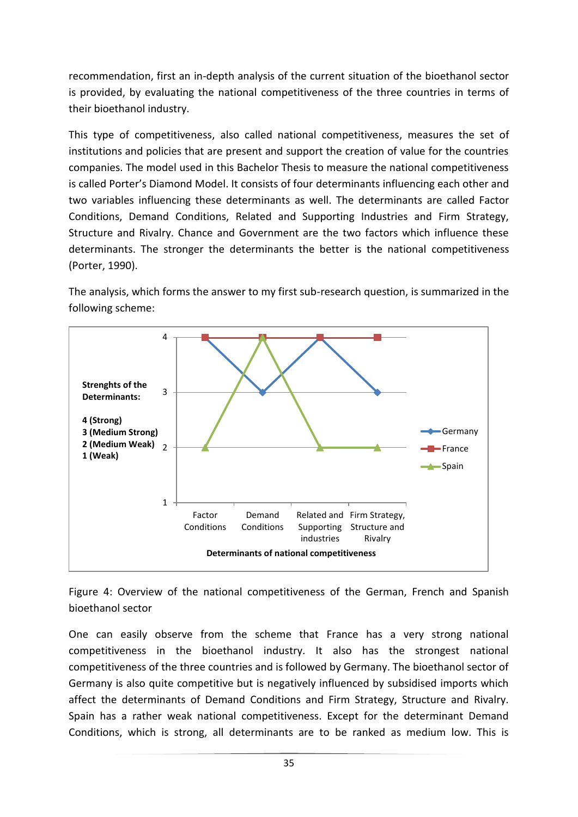recommendation, first an in-depth analysis of the current situation of the bioethanol sector is provided, by evaluating the national competitiveness of the three countries in terms of their bioethanol industry.

This type of competitiveness, also called national competitiveness, measures the set of institutions and policies that are present and support the creation of value for the countries companies. The model used in this Bachelor Thesis to measure the national competitiveness is called Porter's Diamond Model. It consists of four determinants influencing each other and two variables influencing these determinants as well. The determinants are called Factor Conditions, Demand Conditions, Related and Supporting Industries and Firm Strategy, Structure and Rivalry. Chance and Government are the two factors which influence these determinants. The stronger the determinants the better is the national competitiveness (Porter, 1990).

The analysis, which forms the answer to my first sub-research question, is summarized in the following scheme:



Figure 4: Overview of the national competitiveness of the German, French and Spanish bioethanol sector

One can easily observe from the scheme that France has a very strong national competitiveness in the bioethanol industry. It also has the strongest national competitiveness of the three countries and is followed by Germany. The bioethanol sector of Germany is also quite competitive but is negatively influenced by subsidised imports which affect the determinants of Demand Conditions and Firm Strategy, Structure and Rivalry. Spain has a rather weak national competitiveness. Except for the determinant Demand Conditions, which is strong, all determinants are to be ranked as medium low. This is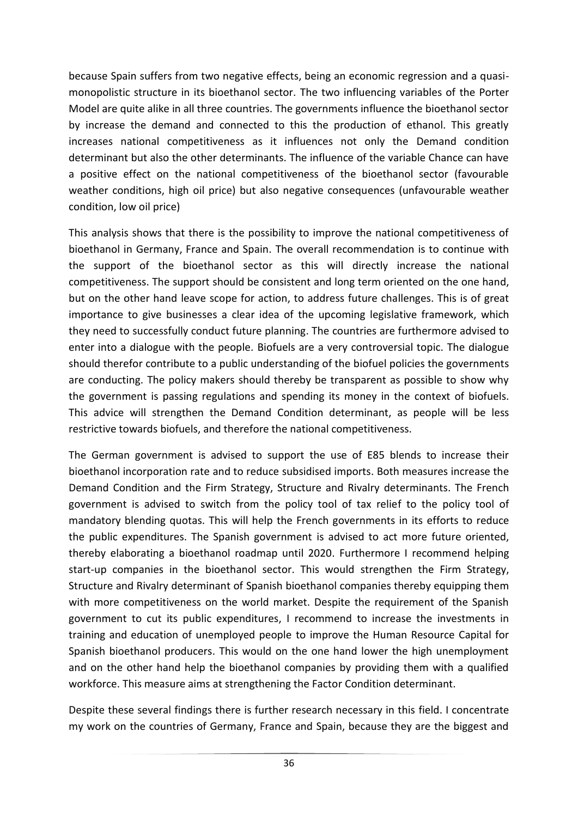because Spain suffers from two negative effects, being an economic regression and a quasimonopolistic structure in its bioethanol sector. The two influencing variables of the Porter Model are quite alike in all three countries. The governments influence the bioethanol sector by increase the demand and connected to this the production of ethanol. This greatly increases national competitiveness as it influences not only the Demand condition determinant but also the other determinants. The influence of the variable Chance can have a positive effect on the national competitiveness of the bioethanol sector (favourable weather conditions, high oil price) but also negative consequences (unfavourable weather condition, low oil price)

This analysis shows that there is the possibility to improve the national competitiveness of bioethanol in Germany, France and Spain. The overall recommendation is to continue with the support of the bioethanol sector as this will directly increase the national competitiveness. The support should be consistent and long term oriented on the one hand, but on the other hand leave scope for action, to address future challenges. This is of great importance to give businesses a clear idea of the upcoming legislative framework, which they need to successfully conduct future planning. The countries are furthermore advised to enter into a dialogue with the people. Biofuels are a very controversial topic. The dialogue should therefor contribute to a public understanding of the biofuel policies the governments are conducting. The policy makers should thereby be transparent as possible to show why the government is passing regulations and spending its money in the context of biofuels. This advice will strengthen the Demand Condition determinant, as people will be less restrictive towards biofuels, and therefore the national competitiveness.

The German government is advised to support the use of E85 blends to increase their bioethanol incorporation rate and to reduce subsidised imports. Both measures increase the Demand Condition and the Firm Strategy, Structure and Rivalry determinants. The French government is advised to switch from the policy tool of tax relief to the policy tool of mandatory blending quotas. This will help the French governments in its efforts to reduce the public expenditures. The Spanish government is advised to act more future oriented, thereby elaborating a bioethanol roadmap until 2020. Furthermore I recommend helping start-up companies in the bioethanol sector. This would strengthen the Firm Strategy, Structure and Rivalry determinant of Spanish bioethanol companies thereby equipping them with more competitiveness on the world market. Despite the requirement of the Spanish government to cut its public expenditures, I recommend to increase the investments in training and education of unemployed people to improve the Human Resource Capital for Spanish bioethanol producers. This would on the one hand lower the high unemployment and on the other hand help the bioethanol companies by providing them with a qualified workforce. This measure aims at strengthening the Factor Condition determinant.

Despite these several findings there is further research necessary in this field. I concentrate my work on the countries of Germany, France and Spain, because they are the biggest and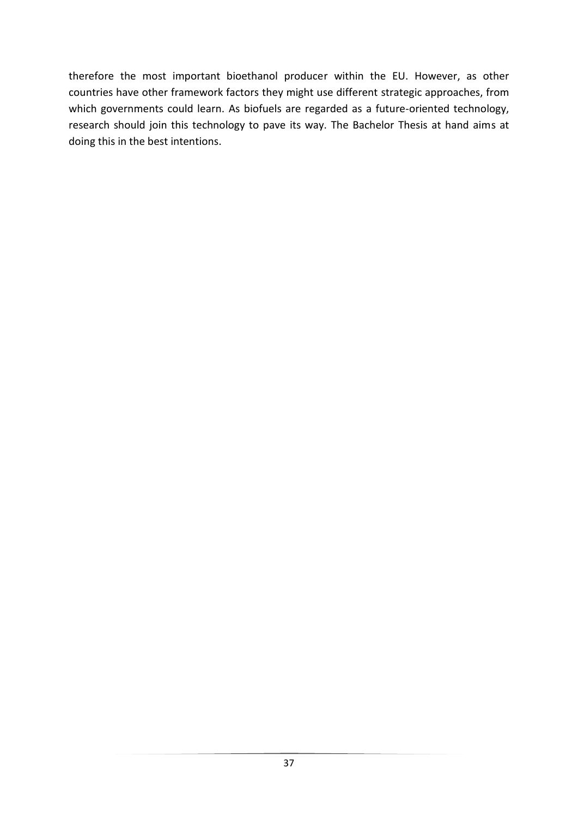therefore the most important bioethanol producer within the EU. However, as other countries have other framework factors they might use different strategic approaches, from which governments could learn. As biofuels are regarded as a future-oriented technology, research should join this technology to pave its way. The Bachelor Thesis at hand aims at doing this in the best intentions.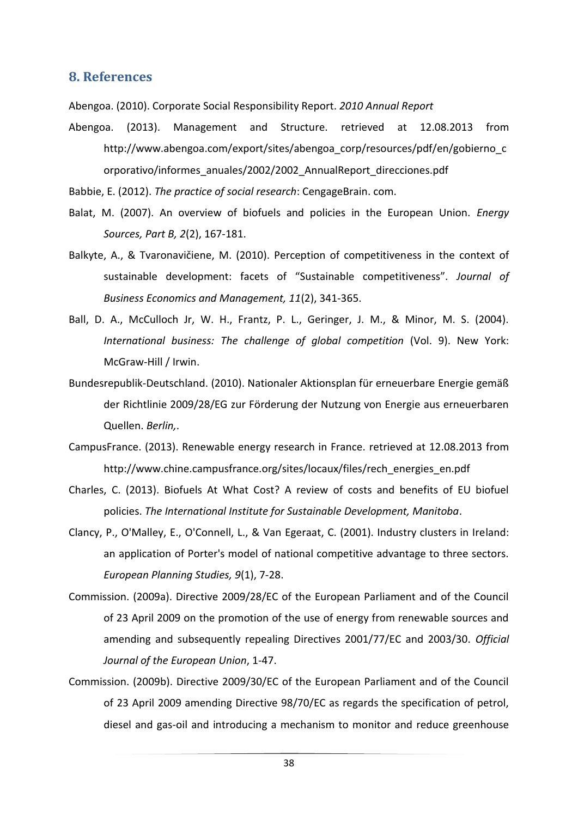#### <span id="page-38-0"></span>**8. References**

<span id="page-38-12"></span>Abengoa. (2010). Corporate Social Responsibility Report. *2010 Annual Report* 

<span id="page-38-11"></span>Abengoa. (2013). Management and Structure. retrieved at 12.08.2013 from http://www.abengoa.com/export/sites/abengoa\_corp/resources/pdf/en/gobierno\_c orporativo/informes\_anuales/2002/2002\_AnnualReport\_direcciones.pdf

<span id="page-38-7"></span>Babbie, E. (2012). *The practice of social research*: CengageBrain. com.

- <span id="page-38-1"></span>Balat, M. (2007). An overview of biofuels and policies in the European Union. *Energy Sources, Part B, 2*(2), 167-181.
- <span id="page-38-5"></span>Balkyte, A., & Tvaronavičiene, M. (2010). Perception of competitiveness in the context of sustainable development: facets of "Sustainable competitiveness". *Journal of Business Economics and Management, 11*(2), 341-365.
- <span id="page-38-4"></span>Ball, D. A., McCulloch Jr, W. H., Frantz, P. L., Geringer, J. M., & Minor, M. S. (2004). *International business: The challenge of global competition* (Vol. 9). New York: McGraw-Hill / Irwin.
- <span id="page-38-8"></span>Bundesrepublik-Deutschland. (2010). Nationaler Aktionsplan für erneuerbare Energie gemäß der Richtlinie 2009/28/EG zur Förderung der Nutzung von Energie aus erneuerbaren Quellen. *Berlin,*.
- <span id="page-38-9"></span>CampusFrance. (2013). Renewable energy research in France. retrieved at 12.08.2013 from http://www.chine.campusfrance.org/sites/locaux/files/rech\_energies\_en.pdf
- <span id="page-38-10"></span>Charles, C. (2013). Biofuels At What Cost? A review of costs and benefits of EU biofuel policies. *The International Institute for Sustainable Development, Manitoba*.
- <span id="page-38-6"></span>Clancy, P., O'Malley, E., O'Connell, L., & Van Egeraat, C. (2001). Industry clusters in Ireland: an application of Porter's model of national competitive advantage to three sectors. *European Planning Studies, 9*(1), 7-28.
- <span id="page-38-2"></span>Commission. (2009a). Directive 2009/28/EC of the European Parliament and of the Council of 23 April 2009 on the promotion of the use of energy from renewable sources and amending and subsequently repealing Directives 2001/77/EC and 2003/30. *Official Journal of the European Union*, 1-47.
- <span id="page-38-3"></span>Commission. (2009b). Directive 2009/30/EC of the European Parliament and of the Council of 23 April 2009 amending Directive 98/70/EC as regards the specification of petrol, diesel and gas-oil and introducing a mechanism to monitor and reduce greenhouse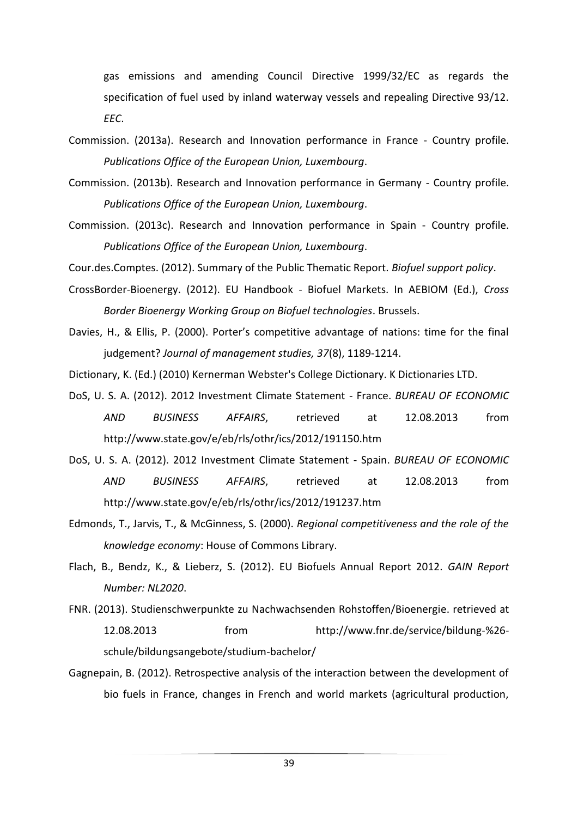gas emissions and amending Council Directive 1999/32/EC as regards the specification of fuel used by inland waterway vessels and repealing Directive 93/12. *EEC*.

- <span id="page-39-6"></span>Commission. (2013a). Research and Innovation performance in France - Country profile. *Publications Office of the European Union, Luxembourg*.
- <span id="page-39-4"></span>Commission. (2013b). Research and Innovation performance in Germany - Country profile. *Publications Office of the European Union, Luxembourg*.
- <span id="page-39-10"></span>Commission. (2013c). Research and Innovation performance in Spain - Country profile. *Publications Office of the European Union, Luxembourg*.

<span id="page-39-9"></span>Cour.des.Comptes. (2012). Summary of the Public Thematic Report. *Biofuel support policy*.

- <span id="page-39-3"></span>CrossBorder-Bioenergy. (2012). EU Handbook - Biofuel Markets. In AEBIOM (Ed.), *Cross Border Bioenergy Working Group on Biofuel technologies*. Brussels.
- <span id="page-39-2"></span>Davies, H., & Ellis, P. (2000). Porter's competitive advantage of nations: time for the final judgement? *Journal of management studies, 37*(8), 1189-1214.

Dictionary, K. (Ed.) (2010) Kernerman Webster's College Dictionary. K Dictionaries LTD.

- <span id="page-39-8"></span>DoS, U. S. A. (2012). 2012 Investment Climate Statement - France. *BUREAU OF ECONOMIC AND BUSINESS AFFAIRS*, retrieved at 12.08.2013 from http://www.state.gov/e/eb/rls/othr/ics/2012/191150.htm
- <span id="page-39-11"></span>DoS, U. S. A. (2012). 2012 Investment Climate Statement - Spain. *BUREAU OF ECONOMIC AND BUSINESS AFFAIRS*, retrieved at 12.08.2013 from http://www.state.gov/e/eb/rls/othr/ics/2012/191237.htm
- <span id="page-39-1"></span>Edmonds, T., Jarvis, T., & McGinness, S. (2000). *Regional competitiveness and the role of the knowledge economy*: House of Commons Library.
- <span id="page-39-0"></span>Flach, B., Bendz, K., & Lieberz, S. (2012). EU Biofuels Annual Report 2012. *GAIN Report Number: NL2020*.
- <span id="page-39-5"></span>FNR. (2013). Studienschwerpunkte zu Nachwachsenden Rohstoffen/Bioenergie. retrieved at 12.08.2013 from http://www.fnr.de/service/bildung-%26 schule/bildungsangebote/studium-bachelor/
- <span id="page-39-7"></span>Gagnepain, B. (2012). Retrospective analysis of the interaction between the development of bio fuels in France, changes in French and world markets (agricultural production,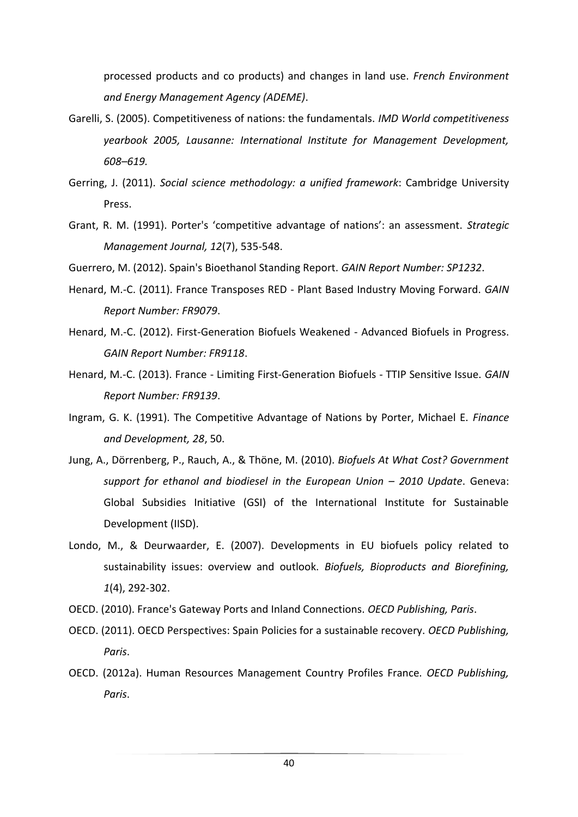processed products and co products) and changes in land use. *French Environment and Energy Management Agency (ADEME)*.

- <span id="page-40-1"></span>Garelli, S. (2005). Competitiveness of nations: the fundamentals. *IMD World competitiveness yearbook 2005, Lausanne: International Institute for Management Development, 608–619.*
- <span id="page-40-4"></span>Gerring, J. (2011). *Social science methodology: a unified framework*: Cambridge University Press.
- <span id="page-40-2"></span>Grant, R. M. (1991). Porter's 'competitive advantage of nations': an assessment. *Strategic Management Journal, 12*(7), 535-548.
- <span id="page-40-12"></span>Guerrero, M. (2012). Spain's Bioethanol Standing Report. *GAIN Report Number: SP1232*.
- <span id="page-40-8"></span>Henard, M.-C. (2011). France Transposes RED - Plant Based Industry Moving Forward. *GAIN Report Number: FR9079*.
- <span id="page-40-9"></span>Henard, M.-C. (2012). First-Generation Biofuels Weakened - Advanced Biofuels in Progress. *GAIN Report Number: FR9118*.
- <span id="page-40-7"></span>Henard, M.-C. (2013). France - Limiting First-Generation Biofuels - TTIP Sensitive Issue. *GAIN Report Number: FR9139*.
- <span id="page-40-3"></span>Ingram, G. K. (1991). The Competitive Advantage of Nations by Porter, Michael E. *Finance and Development, 28*, 50.
- <span id="page-40-10"></span>Jung, A., Dörrenberg, P., Rauch, A., & Thöne, M. (2010). *Biofuels At What Cost? Government support for ethanol and biodiesel in the European Union – 2010 Update*. Geneva: Global Subsidies Initiative (GSI) of the International Institute for Sustainable Development (IISD).
- <span id="page-40-0"></span>Londo, M., & Deurwaarder, E. (2007). Developments in EU biofuels policy related to sustainability issues: overview and outlook. *Biofuels, Bioproducts and Biorefining, 1*(4), 292-302.
- <span id="page-40-6"></span>OECD. (2010). France's Gateway Ports and Inland Connections. *OECD Publishing, Paris*.
- <span id="page-40-11"></span>OECD. (2011). OECD Perspectives: Spain Policies for a sustainable recovery. *OECD Publishing, Paris*.
- <span id="page-40-5"></span>OECD. (2012a). Human Resources Management Country Profiles France. *OECD Publishing, Paris*.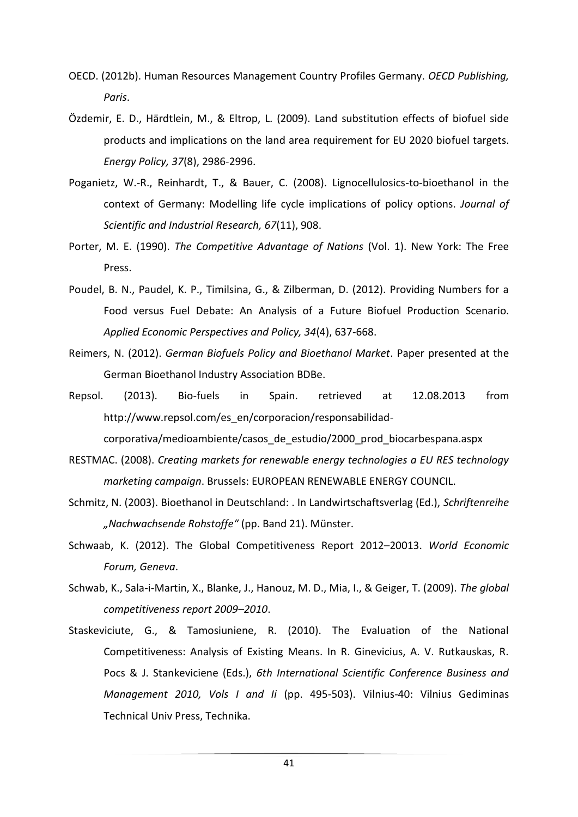- <span id="page-41-5"></span>OECD. (2012b). Human Resources Management Country Profiles Germany. *OECD Publishing, Paris*.
- <span id="page-41-7"></span>Özdemir, E. D., Härdtlein, M., & Eltrop, L. (2009). Land substitution effects of biofuel side products and implications on the land area requirement for EU 2020 biofuel targets. *Energy Policy, 37*(8), 2986-2996.
- <span id="page-41-1"></span>Poganietz, W.-R., Reinhardt, T., & Bauer, C. (2008). Lignocellulosics-to-bioethanol in the context of Germany: Modelling life cycle implications of policy options. *Journal of Scientific and Industrial Research, 67*(11), 908.
- <span id="page-41-4"></span>Porter, M. E. (1990). *The Competitive Advantage of Nations* (Vol. 1). New York: The Free Press.
- <span id="page-41-9"></span>Poudel, B. N., Paudel, K. P., Timilsina, G., & Zilberman, D. (2012). Providing Numbers for a Food versus Fuel Debate: An Analysis of a Future Biofuel Production Scenario. *Applied Economic Perspectives and Policy, 34*(4), 637-668.
- <span id="page-41-6"></span>Reimers, N. (2012). *German Biofuels Policy and Bioethanol Market*. Paper presented at the German Bioethanol Industry Association BDBe.
- <span id="page-41-11"></span>Repsol. (2013). Bio-fuels in Spain. retrieved at 12.08.2013 from http://www.repsol.com/es\_en/corporacion/responsabilidad-

corporativa/medioambiente/casos\_de\_estudio/2000\_prod\_biocarbespana.aspx

- <span id="page-41-0"></span>RESTMAC. (2008). *Creating markets for renewable energy technologies a EU RES technology marketing campaign*. Brussels: EUROPEAN RENEWABLE ENERGY COUNCIL.
- <span id="page-41-8"></span>Schmitz, N. (2003). Bioethanol in Deutschland: . In Landwirtschaftsverlag (Ed.), *Schriftenreihe "Nachwachsende Rohstoffe"* (pp. Band 21). Münster.
- <span id="page-41-10"></span>Schwaab, K. (2012). The Global Competitiveness Report 2012–20013. *World Economic Forum, Geneva*.
- <span id="page-41-2"></span>Schwab, K., Sala-i-Martin, X., Blanke, J., Hanouz, M. D., Mia, I., & Geiger, T. (2009). *The global competitiveness report 2009–2010*.
- <span id="page-41-3"></span>Staskeviciute, G., & Tamosiuniene, R. (2010). The Evaluation of the National Competitiveness: Analysis of Existing Means. In R. Ginevicius, A. V. Rutkauskas, R. Pocs & J. Stankeviciene (Eds.), *6th International Scientific Conference Business and Management 2010, Vols I and Ii* (pp. 495-503). Vilnius-40: Vilnius Gediminas Technical Univ Press, Technika.